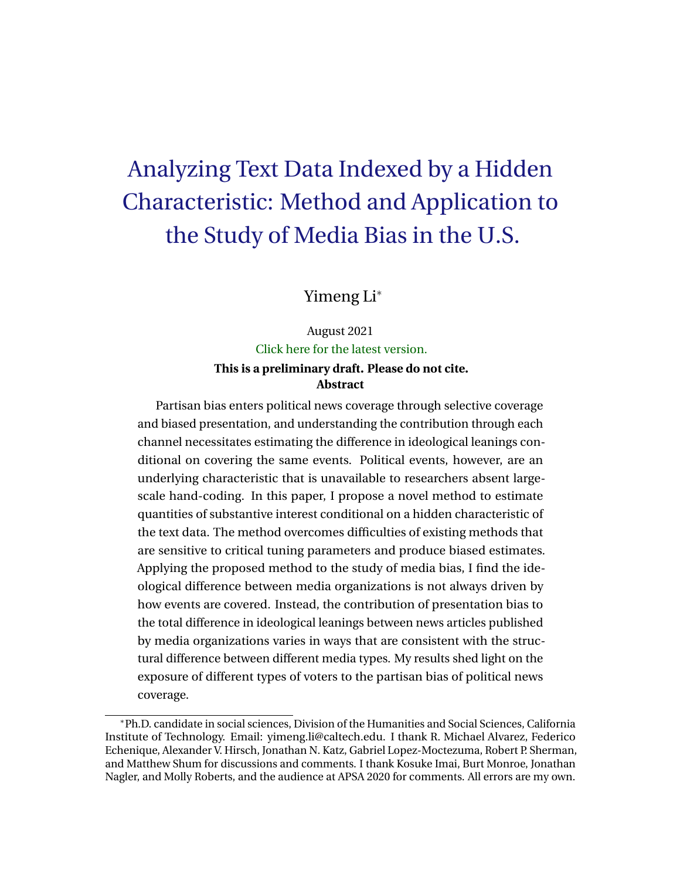# Analyzing Text Data Indexed by a Hidden Characteristic: Method and Application to the Study of Media Bias in the U.S.

Yimeng Li<sup>∗</sup>

August 2021 [Click here for the latest version.](http://www.its.caltech.edu/~yli2/Paper_YL.pdf) **This is a preliminary draft. Please do not cite. Abstract**

Partisan bias enters political news coverage through selective coverage and biased presentation, and understanding the contribution through each channel necessitates estimating the difference in ideological leanings conditional on covering the same events. Political events, however, are an underlying characteristic that is unavailable to researchers absent largescale hand-coding. In this paper, I propose a novel method to estimate quantities of substantive interest conditional on a hidden characteristic of the text data. The method overcomes difficulties of existing methods that are sensitive to critical tuning parameters and produce biased estimates. Applying the proposed method to the study of media bias, I find the ideological difference between media organizations is not always driven by how events are covered. Instead, the contribution of presentation bias to the total difference in ideological leanings between news articles published by media organizations varies in ways that are consistent with the structural difference between different media types. My results shed light on the exposure of different types of voters to the partisan bias of political news coverage.

<sup>∗</sup>Ph.D. candidate in social sciences, Division of the Humanities and Social Sciences, California Institute of Technology. Email: yimeng.li@caltech.edu. I thank R. Michael Alvarez, Federico Echenique, Alexander V. Hirsch, Jonathan N. Katz, Gabriel Lopez-Moctezuma, Robert P. Sherman, and Matthew Shum for discussions and comments. I thank Kosuke Imai, Burt Monroe, Jonathan Nagler, and Molly Roberts, and the audience at APSA 2020 for comments. All errors are my own.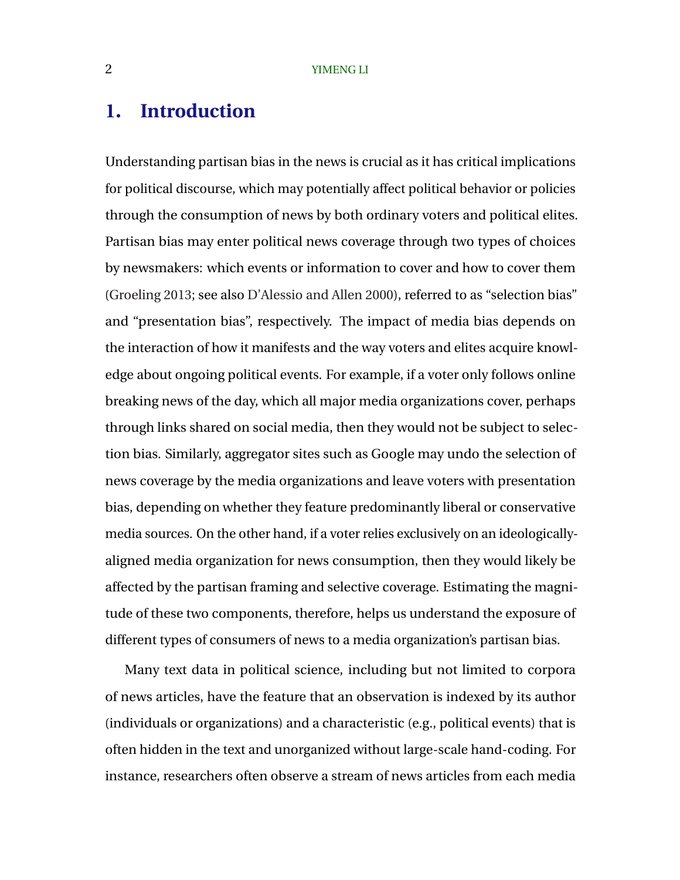# **1. Introduction**

Understanding partisan bias in the news is crucial as it has critical implications for political discourse, which may potentially affect political behavior or policies through the consumption of news by both ordinary voters and political elites. Partisan bias may enter political news coverage through two types of choices by newsmakers: which events or information to cover and how to cover them [\(Groeling](#page-29-0) [2013;](#page-29-0) see also [D'Alessio and Allen](#page-28-0) [2000\)](#page-28-0), referred to as "selection bias" and "presentation bias", respectively. The impact of media bias depends on the interaction of how it manifests and the way voters and elites acquire knowledge about ongoing political events. For example, if a voter only follows online breaking news of the day, which all major media organizations cover, perhaps through links shared on social media, then they would not be subject to selection bias. Similarly, aggregator sites such as Google may undo the selection of news coverage by the media organizations and leave voters with presentation bias, depending on whether they feature predominantly liberal or conservative media sources. On the other hand, if a voter relies exclusively on an ideologicallyaligned media organization for news consumption, then they would likely be affected by the partisan framing and selective coverage. Estimating the magnitude of these two components, therefore, helps us understand the exposure of different types of consumers of news to a media organization's partisan bias.

Many text data in political science, including but not limited to corpora of news articles, have the feature that an observation is indexed by its author (individuals or organizations) and a characteristic (e.g., political events) that is often hidden in the text and unorganized without large-scale hand-coding. For instance, researchers often observe a stream of news articles from each media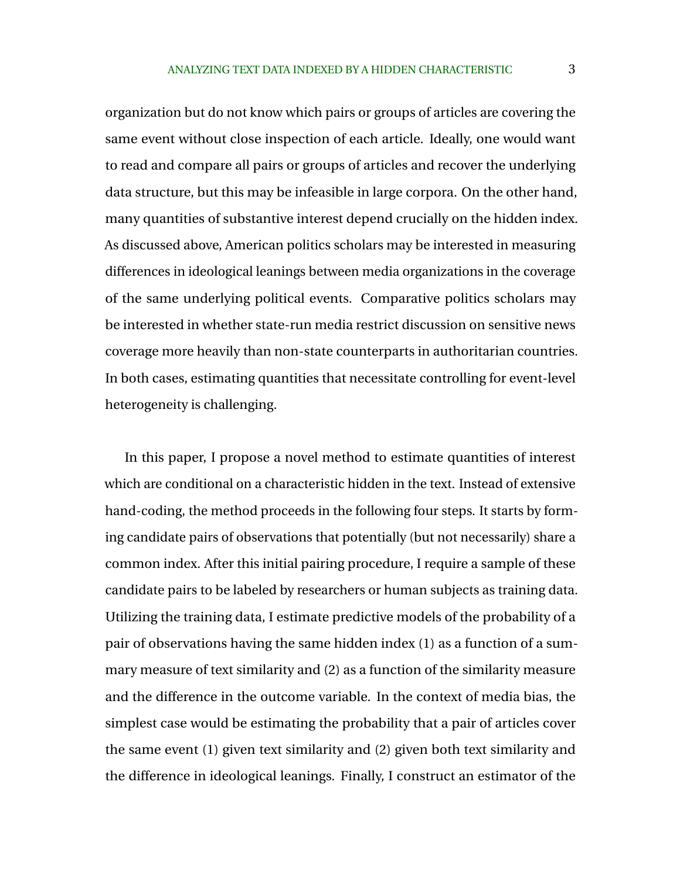organization but do not know which pairs or groups of articles are covering the same event without close inspection of each article. Ideally, one would want to read and compare all pairs or groups of articles and recover the underlying data structure, but this may be infeasible in large corpora. On the other hand, many quantities of substantive interest depend crucially on the hidden index. As discussed above, American politics scholars may be interested in measuring differences in ideological leanings between media organizations in the coverage of the same underlying political events. Comparative politics scholars may be interested in whether state-run media restrict discussion on sensitive news coverage more heavily than non-state counterparts in authoritarian countries. In both cases, estimating quantities that necessitate controlling for event-level heterogeneity is challenging.

In this paper, I propose a novel method to estimate quantities of interest which are conditional on a characteristic hidden in the text. Instead of extensive hand-coding, the method proceeds in the following four steps. It starts by forming candidate pairs of observations that potentially (but not necessarily) share a common index. After this initial pairing procedure, I require a sample of these candidate pairs to be labeled by researchers or human subjects as training data. Utilizing the training data, I estimate predictive models of the probability of a pair of observations having the same hidden index (1) as a function of a summary measure of text similarity and (2) as a function of the similarity measure and the difference in the outcome variable. In the context of media bias, the simplest case would be estimating the probability that a pair of articles cover the same event (1) given text similarity and (2) given both text similarity and the difference in ideological leanings. Finally, I construct an estimator of the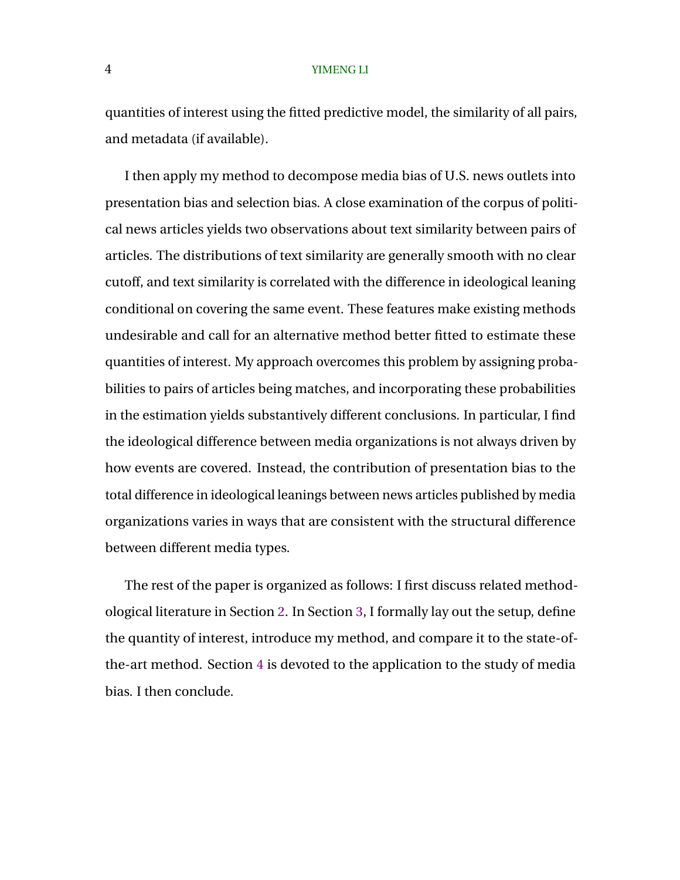quantities of interest using the fitted predictive model, the similarity of all pairs, and metadata (if available).

I then apply my method to decompose media bias of U.S. news outlets into presentation bias and selection bias. A close examination of the corpus of political news articles yields two observations about text similarity between pairs of articles. The distributions of text similarity are generally smooth with no clear cutoff, and text similarity is correlated with the difference in ideological leaning conditional on covering the same event. These features make existing methods undesirable and call for an alternative method better fitted to estimate these quantities of interest. My approach overcomes this problem by assigning probabilities to pairs of articles being matches, and incorporating these probabilities in the estimation yields substantively different conclusions. In particular, I find the ideological difference between media organizations is not always driven by how events are covered. Instead, the contribution of presentation bias to the total difference in ideological leanings between news articles published by media organizations varies in ways that are consistent with the structural difference between different media types.

The rest of the paper is organized as follows: I first discuss related methodological literature in Section 2. In Section [3,](#page-6-0) I formally lay out the setup, define the quantity of interest, introduce my method, and compare it to the state-ofthe-art method. Section [4](#page-16-0) is devoted to the application to the study of media bias. I then conclude.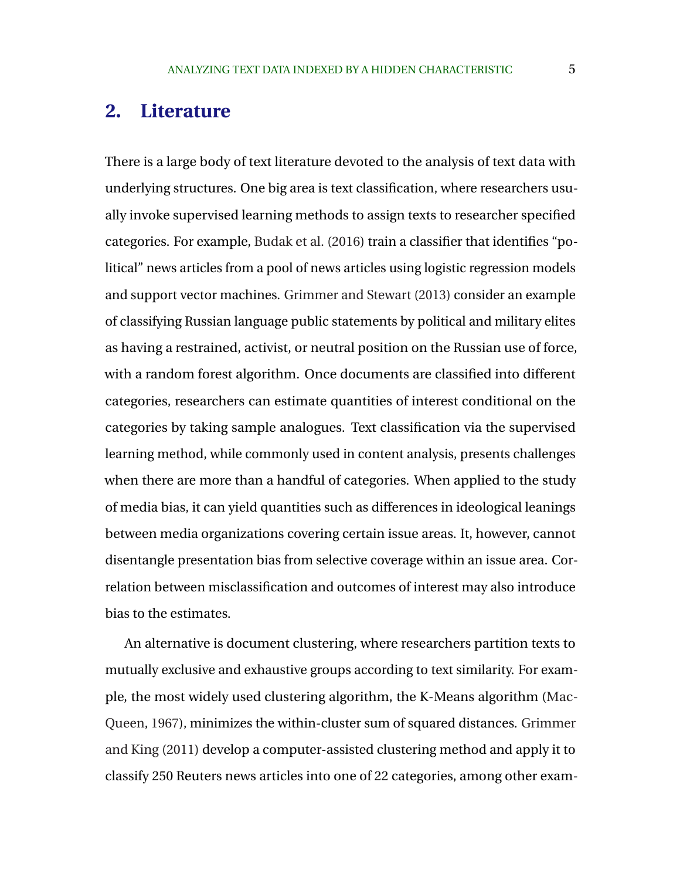# **2. Literature**

There is a large body of text literature devoted to the analysis of text data with underlying structures. One big area is text classification, where researchers usually invoke supervised learning methods to assign texts to researcher specified categories. For example, [Budak et al.](#page-28-0) [\(2016\)](#page-28-0) train a classifier that identifies "political" news articles from a pool of news articles using logistic regression models and support vector machines. [Grimmer and Stewart](#page-29-0) [\(2013\)](#page-29-0) consider an example of classifying Russian language public statements by political and military elites as having a restrained, activist, or neutral position on the Russian use of force, with a random forest algorithm. Once documents are classified into different categories, researchers can estimate quantities of interest conditional on the categories by taking sample analogues. Text classification via the supervised learning method, while commonly used in content analysis, presents challenges when there are more than a handful of categories. When applied to the study of media bias, it can yield quantities such as differences in ideological leanings between media organizations covering certain issue areas. It, however, cannot disentangle presentation bias from selective coverage within an issue area. Correlation between misclassification and outcomes of interest may also introduce bias to the estimates.

An alternative is document clustering, where researchers partition texts to mutually exclusive and exhaustive groups according to text similarity. For example, the most widely used clustering algorithm, the K-Means algorithm [\(Mac-](#page-29-0)[Queen,](#page-29-0) [1967\)](#page-29-0), minimizes the within-cluster sum of squared distances. [Grimmer](#page-29-0) [and King](#page-29-0) [\(2011\)](#page-29-0) develop a computer-assisted clustering method and apply it to classify 250 Reuters news articles into one of 22 categories, among other exam-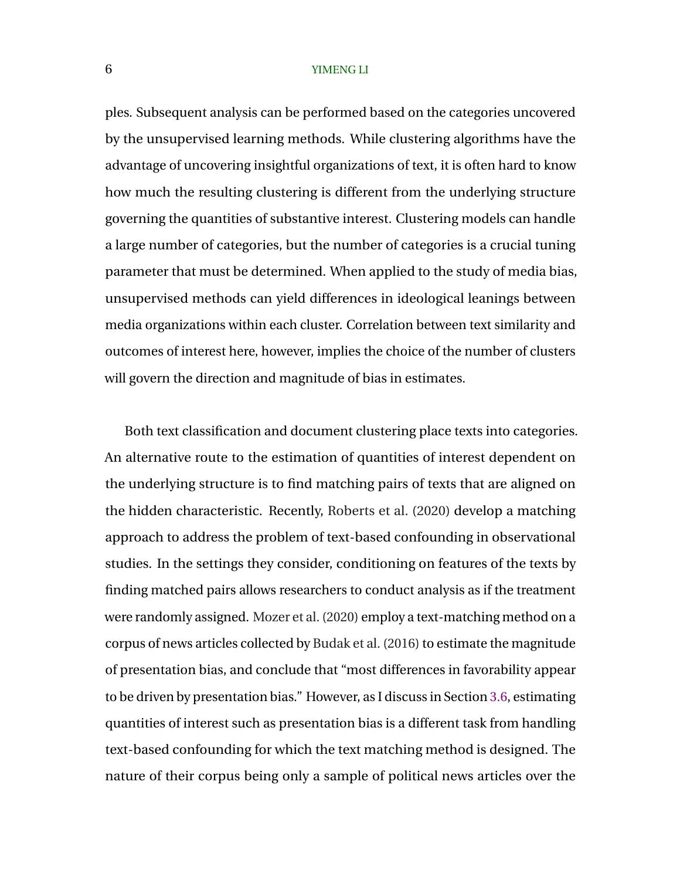ples. Subsequent analysis can be performed based on the categories uncovered by the unsupervised learning methods. While clustering algorithms have the advantage of uncovering insightful organizations of text, it is often hard to know how much the resulting clustering is different from the underlying structure governing the quantities of substantive interest. Clustering models can handle a large number of categories, but the number of categories is a crucial tuning parameter that must be determined. When applied to the study of media bias, unsupervised methods can yield differences in ideological leanings between media organizations within each cluster. Correlation between text similarity and outcomes of interest here, however, implies the choice of the number of clusters will govern the direction and magnitude of bias in estimates.

Both text classification and document clustering place texts into categories. An alternative route to the estimation of quantities of interest dependent on the underlying structure is to find matching pairs of texts that are aligned on the hidden characteristic. Recently, [Roberts et al.](#page-30-0) [\(2020\)](#page-30-0) develop a matching approach to address the problem of text-based confounding in observational studies. In the settings they consider, conditioning on features of the texts by finding matched pairs allows researchers to conduct analysis as if the treatment were randomly assigned. [Mozer et al.](#page-30-0) [\(2020\)](#page-30-0) employ a text-matching method on a corpus of news articles collected by [Budak et al.](#page-28-0) [\(2016\)](#page-28-0) to estimate the magnitude of presentation bias, and conclude that "most differences in favorability appear to be driven by presentation bias." However, as I discuss in Section [3.6,](#page-14-0) estimating quantities of interest such as presentation bias is a different task from handling text-based confounding for which the text matching method is designed. The nature of their corpus being only a sample of political news articles over the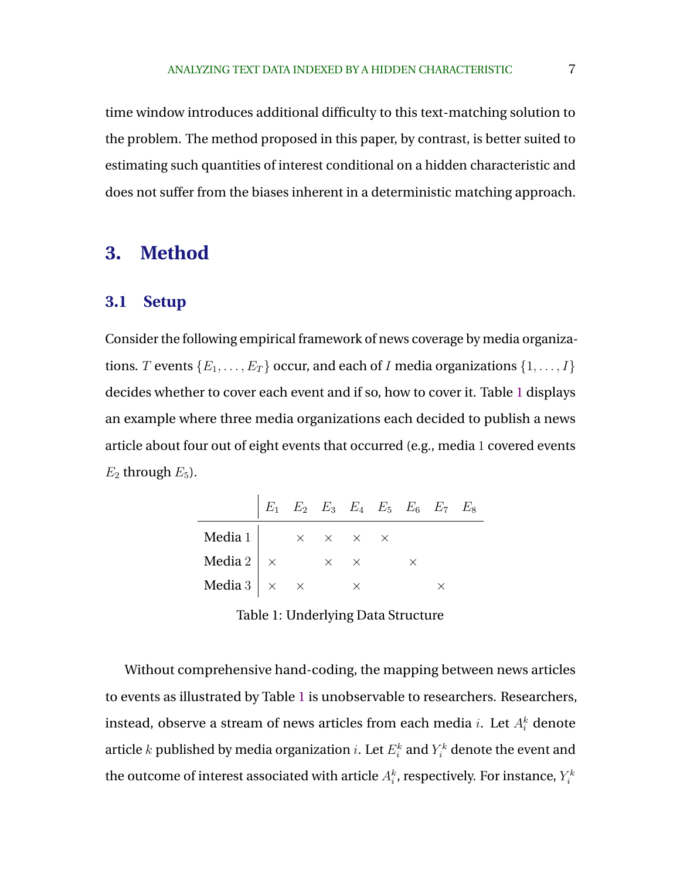<span id="page-6-0"></span>time window introduces additional difficulty to this text-matching solution to the problem. The method proposed in this paper, by contrast, is better suited to estimating such quantities of interest conditional on a hidden characteristic and does not suffer from the biases inherent in a deterministic matching approach.

# **3. Method**

#### **3.1 Setup**

Consider the following empirical framework of news coverage by media organizations. T events  $\{E_1, \ldots, E_T\}$  occur, and each of I media organizations  $\{1, \ldots, I\}$ decides whether to cover each event and if so, how to cover it. Table 1 displays an example where three media organizations each decided to publish a news article about four out of eight events that occurred (e.g., media 1 covered events  $E_2$  through  $E_5$ ).

|                                              | $E_1$ $E_2$ $E_3$ $E_4$ $E_5$ $E_6$ $E_7$ $E_8$ |                   |  |          |  |
|----------------------------------------------|-------------------------------------------------|-------------------|--|----------|--|
| Media 1 $\times \times \times \times \times$ |                                                 |                   |  |          |  |
| Media 2 $\vert x \rangle$                    |                                                 | $\times$ $\times$ |  | $\times$ |  |
| Media 3 $\times$ $\times$                    |                                                 |                   |  |          |  |

Table 1: Underlying Data Structure

Without comprehensive hand-coding, the mapping between news articles to events as illustrated by Table 1 is unobservable to researchers. Researchers, instead, observe a stream of news articles from each media  $i.$  Let  $A^k_i$  denote article  $k$  published by media organization  $i.$  Let  $E^k_i$  and  $Y^k_i$  denote the event and the outcome of interest associated with article  $A_i^k$ , respectively. For instance,  $Y_i^k$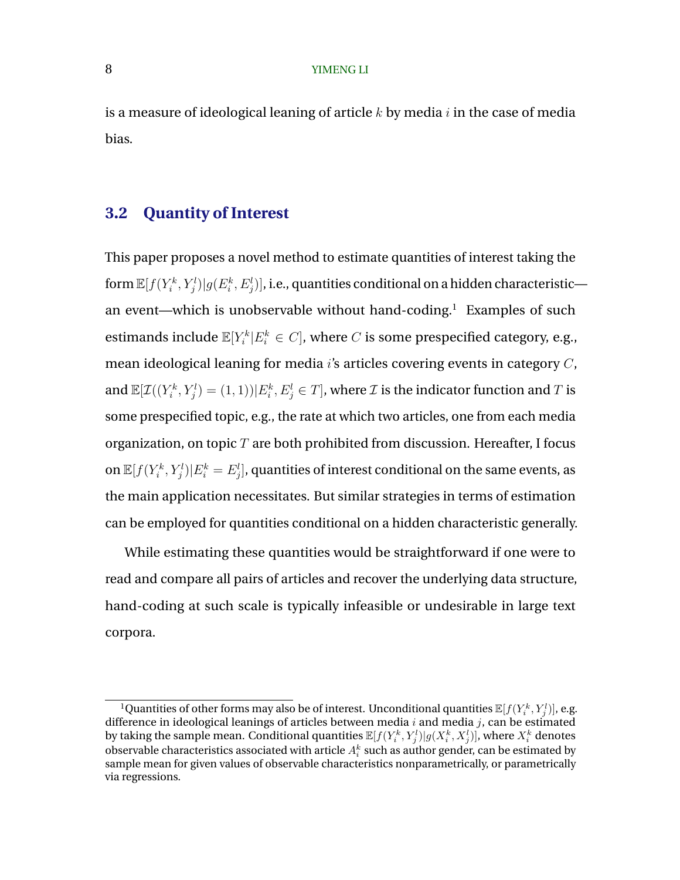is a measure of ideological leaning of article  $k$  by media  $i$  in the case of media bias.

# **3.2 Quantity of Interest**

This paper proposes a novel method to estimate quantities of interest taking the form  $\mathbb{E}[f(Y_i^k,Y_j^l)| g(E_i^k,E_j^l)]$ , i.e., quantities conditional on a hidden characteristic an event—which is unobservable without hand-coding.<sup>1</sup> Examples of such estimands include  $\mathbb{E}[Y_i^k | E_i^k \in C]$ , where  $C$  is some prespecified category, e.g., mean ideological leaning for media i's articles covering events in category C, and  $\mathbb{E}[ \mathcal{I}((Y_i^k, Y_j^l) = (1, 1)) | E_i^k, E_j^l \in T],$  where  $\mathcal I$  is the indicator function and  $T$  is some prespecified topic, e.g., the rate at which two articles, one from each media organization, on topic  $T$  are both prohibited from discussion. Hereafter, I focus on  $\mathbb{E}[f(Y_i^k,Y_j^l)|E_i^k=E_j^l],$  quantities of interest conditional on the same events, as the main application necessitates. But similar strategies in terms of estimation can be employed for quantities conditional on a hidden characteristic generally.

While estimating these quantities would be straightforward if one were to read and compare all pairs of articles and recover the underlying data structure, hand-coding at such scale is typically infeasible or undesirable in large text corpora.

 $^1$ Quantities of other forms may also be of interest. Unconditional quantities  $\mathbb{E}[f(Y_i^k, Y_j^l)]$ , e.g. difference in ideological leanings of articles between media  $i$  and media  $j$ , can be estimated by taking the sample mean. Conditional quantities  $\mathbb{E}[f(Y_i^k, Y_j^l)| g(X_i^k, X_j^l)]$ , where  $X_i^k$  denotes observable characteristics associated with article  $A_i^k$  such as author gender, can be estimated by sample mean for given values of observable characteristics nonparametrically, or parametrically via regressions.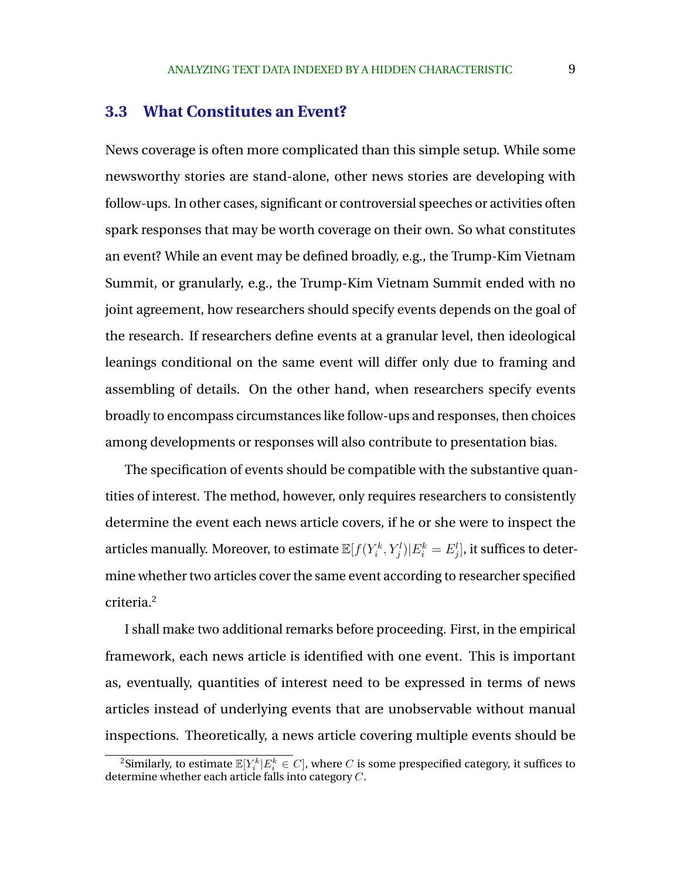### **3.3 What Constitutes an Event?**

News coverage is often more complicated than this simple setup. While some newsworthy stories are stand-alone, other news stories are developing with follow-ups. In other cases, significant or controversial speeches or activities often spark responses that may be worth coverage on their own. So what constitutes an event? While an event may be defined broadly, e.g., the Trump-Kim Vietnam Summit, or granularly, e.g., the Trump-Kim Vietnam Summit ended with no joint agreement, how researchers should specify events depends on the goal of the research. If researchers define events at a granular level, then ideological leanings conditional on the same event will differ only due to framing and assembling of details. On the other hand, when researchers specify events broadly to encompass circumstances like follow-ups and responses, then choices among developments or responses will also contribute to presentation bias.

The specification of events should be compatible with the substantive quantities of interest. The method, however, only requires researchers to consistently determine the event each news article covers, if he or she were to inspect the articles manually. Moreover, to estimate  $\mathbb{E}[f(Y_i^k, Y_j^l)|E_i^k = E_j^l],$  it suffices to determine whether two articles cover the same event according to researcher specified criteria.<sup>2</sup>

I shall make two additional remarks before proceeding. First, in the empirical framework, each news article is identified with one event. This is important as, eventually, quantities of interest need to be expressed in terms of news articles instead of underlying events that are unobservable without manual inspections. Theoretically, a news article covering multiple events should be

 $^2$ Similarly, to estimate  $\mathbb{E}[Y_i^k | E_i^k \in C]$ , where  $C$  is some prespecified category, it suffices to determine whether each article falls into category  $C$ .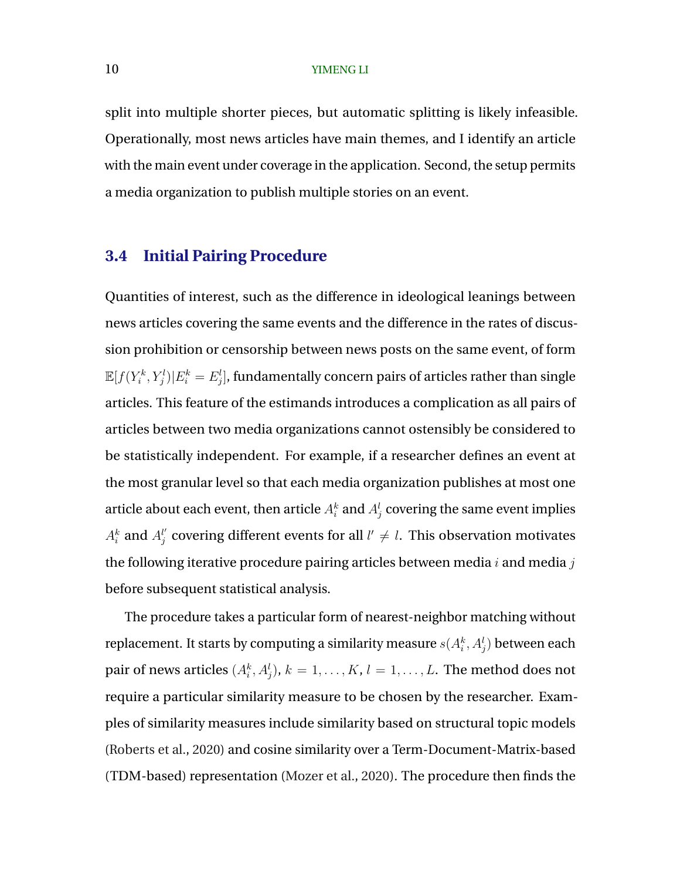split into multiple shorter pieces, but automatic splitting is likely infeasible. Operationally, most news articles have main themes, and I identify an article with the main event under coverage in the application. Second, the setup permits a media organization to publish multiple stories on an event.

### **3.4 Initial Pairing Procedure**

Quantities of interest, such as the difference in ideological leanings between news articles covering the same events and the difference in the rates of discussion prohibition or censorship between news posts on the same event, of form  $\mathbb{E}[f(Y_i^k, Y_j^l)|E_i^k = E_j^l],$  fundamentally concern pairs of articles rather than single articles. This feature of the estimands introduces a complication as all pairs of articles between two media organizations cannot ostensibly be considered to be statistically independent. For example, if a researcher defines an event at the most granular level so that each media organization publishes at most one article about each event, then article  $A_i^k$  and  $A_j^l$  covering the same event implies  $A_i^k$  and  $A_j^{l'}$  covering different events for all  $l'\neq l.$  This observation motivates the following iterative procedure pairing articles between media  $i$  and media  $j$ before subsequent statistical analysis.

The procedure takes a particular form of nearest-neighbor matching without replacement. It starts by computing a similarity measure  $s(A_i^k,A_j^l)$  between each pair of news articles  $(A_i^k,A_j^l),\,k=1,\ldots,K,\,l=1,\ldots,L.$  The method does not require a particular similarity measure to be chosen by the researcher. Examples of similarity measures include similarity based on structural topic models [\(Roberts et al.,](#page-30-0) [2020\)](#page-30-0) and cosine similarity over a Term-Document-Matrix-based (TDM-based) representation [\(Mozer et al.,](#page-30-0) [2020\)](#page-30-0). The procedure then finds the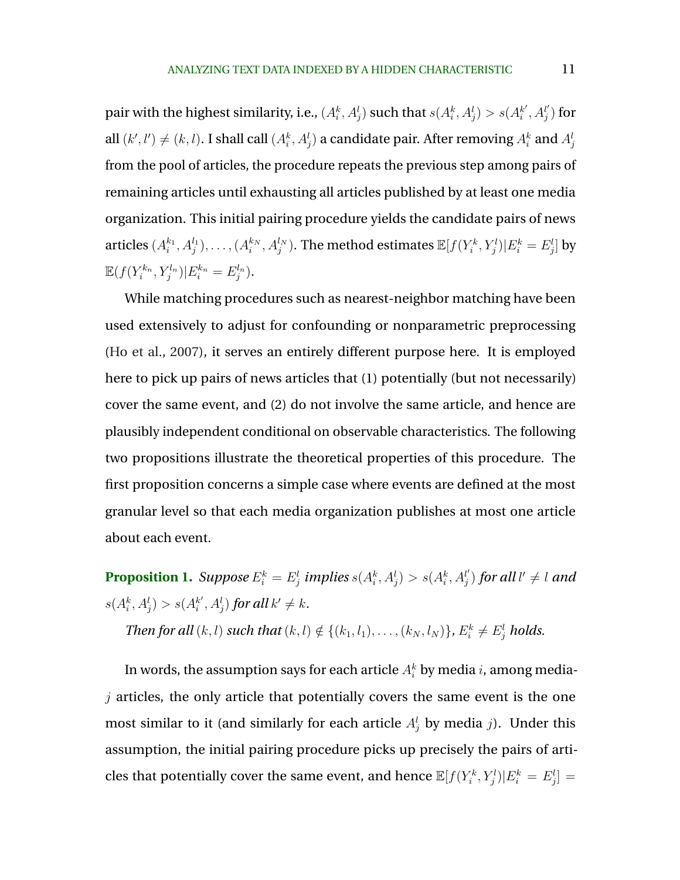<span id="page-10-0"></span>pair with the highest similarity, i.e.,  $(A_i^k, A_j^l)$  such that  $s(A_i^k, A_j^l) > s(A_i^{k'}$  $i^{k'}, A_j^{l'}$  $_{j}^{\mathit{l}^{\prime}})$  for all  $(k',l')\neq (k,l).$  I shall call  $(A_i^k,A_j^l)$  a candidate pair. After removing  $A_i^k$  and  $A_j^l$ from the pool of articles, the procedure repeats the previous step among pairs of remaining articles until exhausting all articles published by at least one media organization. This initial pairing procedure yields the candidate pairs of news articles  $(A_i^{k_1},A_j^{l_1}),\ldots,(A_i^{k_N},A_j^{l_N}).$  The method estimates  $\mathbb{E}[f(Y_i^k,Y_j^l)|E_i^k=E_j^l]$  by  $\mathbb{E}(f(Y_i^{k_n}, Y_j^{l_n})|E_i^{k_n} = E_j^{l_n}).$ 

While matching procedures such as nearest-neighbor matching have been used extensively to adjust for confounding or nonparametric preprocessing [\(Ho et al.,](#page-29-0) [2007\)](#page-29-0), it serves an entirely different purpose here. It is employed here to pick up pairs of news articles that (1) potentially (but not necessarily) cover the same event, and (2) do not involve the same article, and hence are plausibly independent conditional on observable characteristics. The following two propositions illustrate the theoretical properties of this procedure. The first proposition concerns a simple case where events are defined at the most granular level so that each media organization publishes at most one article about each event.

**Proposition 1.** Suppose  $E_i^k = E_j^l$  implies  $s(A_i^k, A_j^l) > s(A_i^k, A_j^{l'})$  $\binom{l'}{j}$  for all l'  $\neq$  l and  $s(A_i^k, A_j^l) > s(A_i^{k'}$  $a_i^{k'}, A_j^l$  ) for all  $k' \neq k$ .

*Then for all*  $(k, l)$  *such that*  $(k, l) \notin \{(k_1, l_1), \ldots, (k_N, l_N)\}$ *,*  $E_i^k \neq E_j^l$  *holds.* 

In words, the assumption says for each article  $A_i^k$  by media  $i$ , among media $j$  articles, the only article that potentially covers the same event is the one most similar to it (and similarly for each article  $A_j^l$  by media j). Under this assumption, the initial pairing procedure picks up precisely the pairs of articles that potentially cover the same event, and hence  $\mathbb{E}[f(Y_i^k, Y_j^l)|E_i^k = E_j^l] =$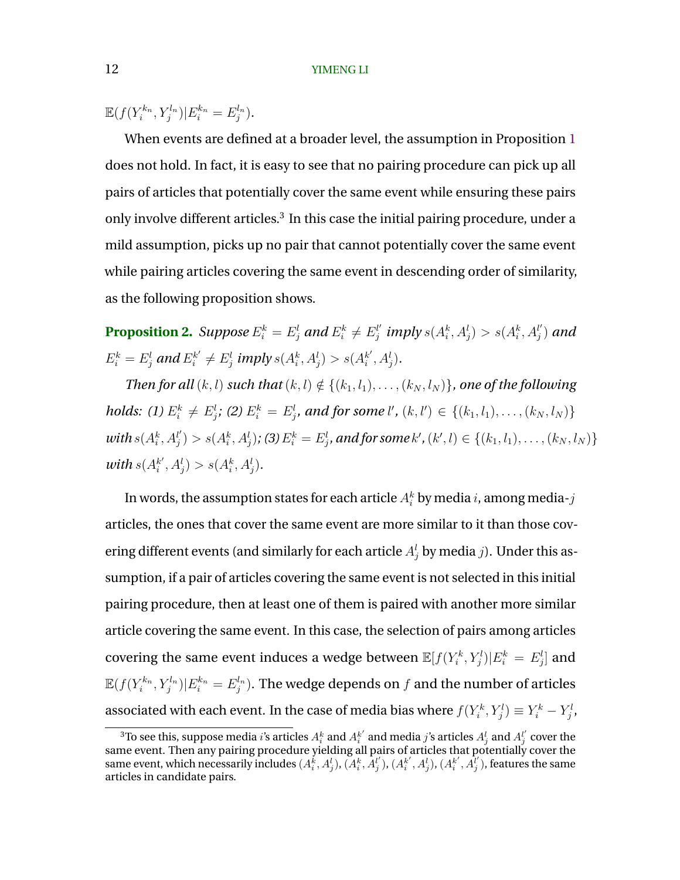<span id="page-11-0"></span> $\mathbb{E}(f(Y_i^{k_n}, Y_j^{l_n}) | E_i^{k_n} = E_j^{l_n}).$ 

When events are defined at a broader level, the assumption in Proposition [1](#page-10-0) does not hold. In fact, it is easy to see that no pairing procedure can pick up all pairs of articles that potentially cover the same event while ensuring these pairs only involve different articles.<sup>3</sup> In this case the initial pairing procedure, under a mild assumption, picks up no pair that cannot potentially cover the same event while pairing articles covering the same event in descending order of similarity, as the following proposition shows.

**Proposition 2.** Suppose  $E_i^k = E_j^l$  and  $E_i^k \neq E_j^{l'}$  $j^{l^{\prime}}_j$  imply  $s(A_i^k,A_j^l)>s(A_i^k,A_j^{l^{\prime}})$ j ) *and*  $E_i^k = E_j^l$  and  $E_i^{k'} \neq E_j^l$  imply  $s(A_i^k, A_j^l) > s(A_i^{k'}$  $_{i}^{k^{\prime}},A_{j}^{l}).$ 

*Then for all*  $(k, l)$  *such that*  $(k, l) \notin \{(k_1, l_1), \ldots, (k_N, l_N)\}$ *, one of the following holds:* (1)  $E_i^k \neq E_j^l$ ; (2)  $E_i^k = E_j^l$ , and for some  $l'$ ,  $(k, l') \in \{(k_1, l_1), \ldots, (k_N, l_N)\}$  $with s(A_i^k, A_j^l)$  $\{f^{l'}_{j})>s(A^{k}_{i},A^{l}_{j})$ ; (3)  $E^{k}_{i}=E^{l}_{j}$ , and for some  $k'$  ,  $(k',l)\in\{(k_{1},l_{1}),\ldots,(k_{N},l_{N})\}$ *with*  $s(A_i^{k'}$  $s'_{i}, A_{j}^{l}) > s(A_{i}^{k}, A_{j}^{l}).$ 

In words, the assumption states for each article  $A_i^k$  by media  $i$ , among media- $j$ articles, the ones that cover the same event are more similar to it than those covering different events (and similarly for each article  $A_j^l$  by media j). Under this assumption, if a pair of articles covering the same event is not selected in this initial pairing procedure, then at least one of them is paired with another more similar article covering the same event. In this case, the selection of pairs among articles covering the same event induces a wedge between  $\mathbb{E}[f(Y_i^k, Y_j^l)|E_i^k = E_j^l]$  and  $\mathbb{E}(f(Y_i^{k_n}, Y_j^{l_n}) | E_i^{k_n} = E_j^{l_n}).$  The wedge depends on  $f$  and the number of articles associated with each event. In the case of media bias where  $f(Y_i^k, Y_j^l) \equiv Y_i^k - Y_j^l,$ 

 $^3$ To see this, suppose media  $i$ 's articles  $A_i^k$  and  $A_i^{k'}$  and media  $j$ 's articles  $A_j^l$  and  $A_j^{l'}$  cover the same event. Then any pairing procedure yielding all pairs of articles that potentially cover the same event, which necessarily includes  $(A_i^{\v{k}},A_j^l)$ ,  $(A_i^k,A_j^{l'}), (A_i^{k'},A_j^{l}), (A_i^{k'},A_j^{l'})$ , features the same articles in candidate pairs.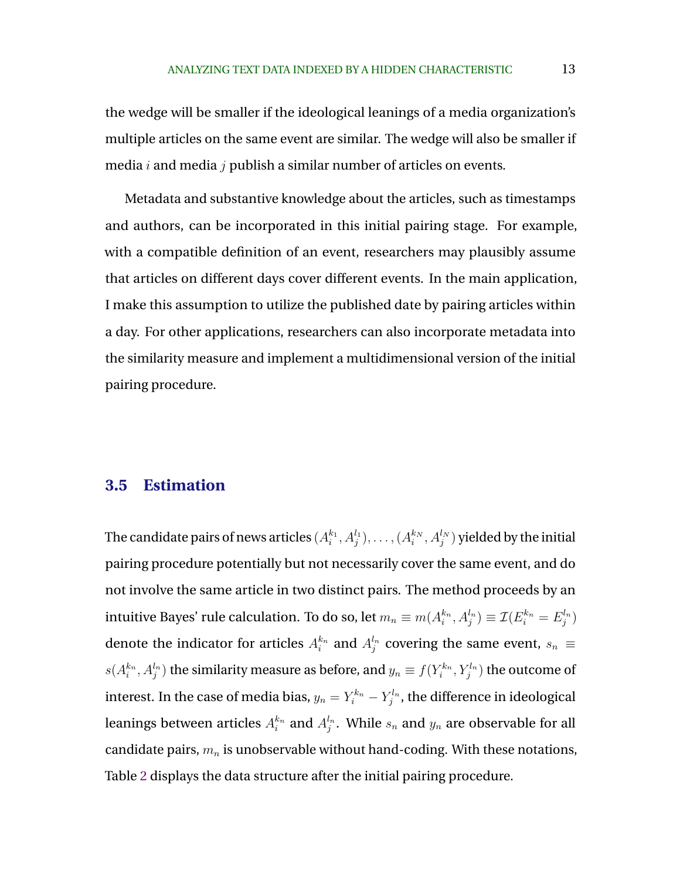the wedge will be smaller if the ideological leanings of a media organization's multiple articles on the same event are similar. The wedge will also be smaller if media  $i$  and media  $j$  publish a similar number of articles on events.

Metadata and substantive knowledge about the articles, such as timestamps and authors, can be incorporated in this initial pairing stage. For example, with a compatible definition of an event, researchers may plausibly assume that articles on different days cover different events. In the main application, I make this assumption to utilize the published date by pairing articles within a day. For other applications, researchers can also incorporate metadata into the similarity measure and implement a multidimensional version of the initial pairing procedure.

### **3.5 Estimation**

The candidate pairs of news articles  $(A_i^{k_1},A_j^{l_1}),\ldots,(A_i^{k_N},A_j^{l_N})$  yielded by the initial pairing procedure potentially but not necessarily cover the same event, and do not involve the same article in two distinct pairs. The method proceeds by an intuitive Bayes' rule calculation. To do so, let  $m_n\equiv m(A_i^{k_n},A_j^{l_n})\equiv \mathcal{I}(E_i^{k_n}=E_j^{l_n})$ denote the indicator for articles  $A_i^{k_n}$  and  $A_j^{l_n}$  covering the same event,  $s_n \equiv$  $s(A_i^{k_n},A_j^{l_n})$  the similarity measure as before, and  $y_n\equiv f(Y_i^{k_n},Y_j^{l_n})$  the outcome of interest. In the case of media bias,  $y_n=Y_i^{k_n}-Y_j^{l_n}$ , the difference in ideological leanings between articles  $A_i^{k_n}$  and  $A_j^{l_n}.$  While  $s_n$  and  $y_n$  are observable for all candidate pairs,  $m_n$  is unobservable without hand-coding. With these notations, Table [2](#page-13-0) displays the data structure after the initial pairing procedure.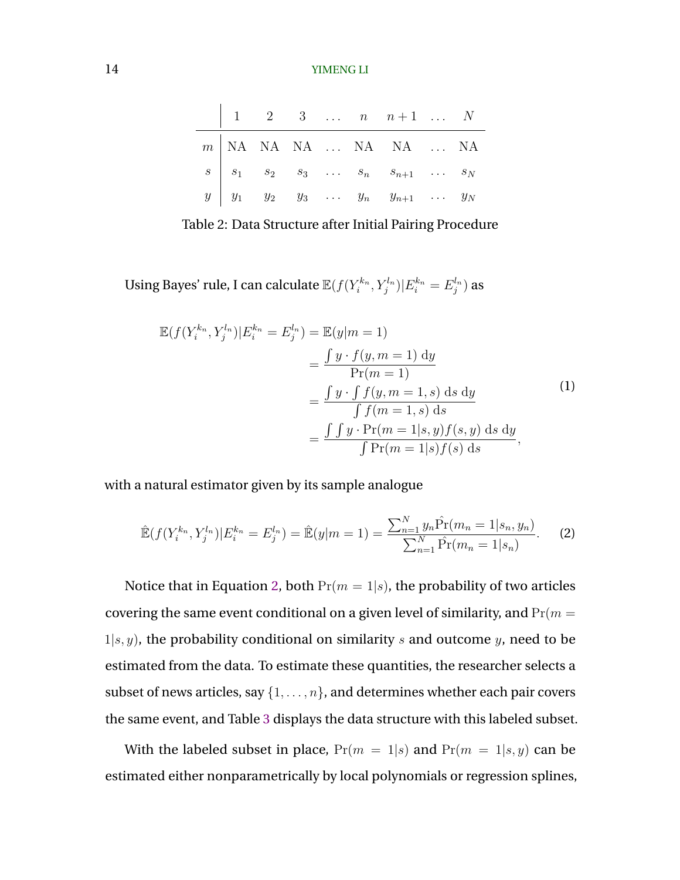<span id="page-13-0"></span>

|  |  |  | $1 \quad 2 \quad 3 \quad  \quad n \quad n+1 \quad  \quad N$                                                                                                    |  |
|--|--|--|----------------------------------------------------------------------------------------------------------------------------------------------------------------|--|
|  |  |  | $m \begin{array}{ cccccccccccc } \hline m & \text{NA} & \text{NA} & \text{NA} & \dots & \text{NA} & \text{NA} & \dots & \text{NA} \\\hline \end{array}$        |  |
|  |  |  | $\begin{array}{c ccccccccc} s & s_1 & s_2 & s_3 & \dots & s_n & s_{n+1} & \dots & s_N \ y & y_1 & y_2 & y_3 & \dots & y_n & y_{n+1} & \dots & y_N \end{array}$ |  |
|  |  |  |                                                                                                                                                                |  |

Table 2: Data Structure after Initial Pairing Procedure

Using Bayes' rule, I can calculate  $\mathbb{E}(f(Y_i^{k_n}, Y_j^{l_n}) | E_i^{k_n} = E_j^{l_n})$  as

$$
\mathbb{E}(f(Y_i^{k_n}, Y_j^{l_n})|E_i^{k_n} = E_j^{l_n}) = \mathbb{E}(y|m = 1)
$$
  
= 
$$
\frac{\int y \cdot f(y, m = 1) dy}{\Pr(m = 1)}
$$
  
= 
$$
\frac{\int y \cdot \int f(y, m = 1, s) ds dy}{\int f(m = 1, s) ds}
$$
  
= 
$$
\frac{\int \int y \cdot \Pr(m = 1|s, y) f(s, y) ds dy}{\int \Pr(m = 1|s) f(s) ds},
$$
  
(1)

with a natural estimator given by its sample analogue

$$
\hat{\mathbb{E}}(f(Y_i^{k_n}, Y_j^{l_n}) | E_i^{k_n} = E_j^{l_n}) = \hat{\mathbb{E}}(y|m=1) = \frac{\sum_{n=1}^N y_n \hat{\Pr}(m_n = 1 | s_n, y_n)}{\sum_{n=1}^N \hat{\Pr}(m_n = 1 | s_n)}.
$$
 (2)

Notice that in Equation 2, both  $Pr(m = 1|s)$ , the probability of two articles covering the same event conditional on a given level of similarity, and  $Pr(m =$  $1|s, y$ , the probability conditional on similarity s and outcome y, need to be estimated from the data. To estimate these quantities, the researcher selects a subset of news articles, say  $\{1, \ldots, n\}$ , and determines whether each pair covers the same event, and Table [3](#page-14-0) displays the data structure with this labeled subset.

With the labeled subset in place,  $Pr(m = 1|s)$  and  $Pr(m = 1|s, y)$  can be estimated either nonparametrically by local polynomials or regression splines,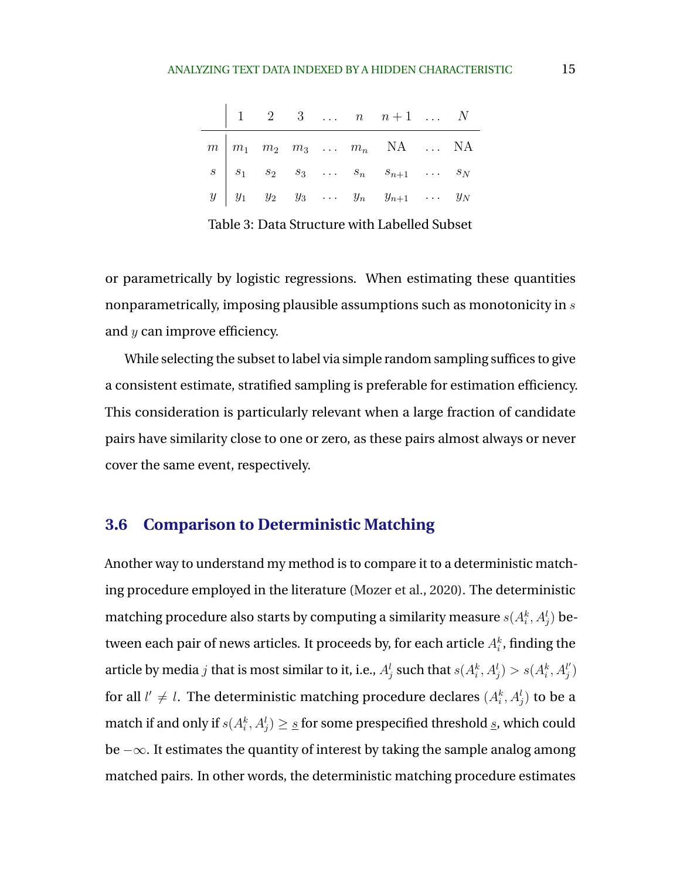<span id="page-14-0"></span>

|  |  |  | $\begin{array}{ c c c c c c } \hline 1 & 2 & 3 & \dots & n & n+1 & \dots & N \\ \hline \end{array}$                                                                                                                                   |  |
|--|--|--|---------------------------------------------------------------------------------------------------------------------------------------------------------------------------------------------------------------------------------------|--|
|  |  |  | $\begin{array}{c cccccccc}\nm & m_1 & m_2 & m_3 & \dots & m_n & \text{NA} & \dots & \text{NA} \\ s & s_1 & s_2 & s_3 & \dots & s_n & s_{n+1} & \dots & s_N \\ y & y_1 & y_2 & y_3 & \dots & y_n & y_{n+1} & \dots & y_N\n\end{array}$ |  |
|  |  |  |                                                                                                                                                                                                                                       |  |
|  |  |  |                                                                                                                                                                                                                                       |  |
|  |  |  |                                                                                                                                                                                                                                       |  |

Table 3: Data Structure with Labelled Subset

or parametrically by logistic regressions. When estimating these quantities nonparametrically, imposing plausible assumptions such as monotonicity in s and y can improve efficiency.

While selecting the subset to label via simple random sampling suffices to give a consistent estimate, stratified sampling is preferable for estimation efficiency. This consideration is particularly relevant when a large fraction of candidate pairs have similarity close to one or zero, as these pairs almost always or never cover the same event, respectively.

# **3.6 Comparison to Deterministic Matching**

Another way to understand my method is to compare it to a deterministic matching procedure employed in the literature [\(Mozer et al.,](#page-30-0) [2020\)](#page-30-0). The deterministic matching procedure also starts by computing a similarity measure  $s(A_i^k,A_j^l)$  between each pair of news articles. It proceeds by, for each article  $A_i^k$ , finding the article by media  $j$  that is most similar to it, i.e.,  $A_j^l$  such that  $s(A_i^k,A_j^l)>s(A_i^k,A_j^{l^{\prime}})$  $\binom{l'}{j}$ for all  $l'\neq l.$  The deterministic matching procedure declares  $(A_i^k,A_j^l)$  to be a match if and only if  $s(A_i^k,A_j^l)\geq\underline{s}$  for some prespecified threshold  $\underline{s}$ , which could be −∞. It estimates the quantity of interest by taking the sample analog among matched pairs. In other words, the deterministic matching procedure estimates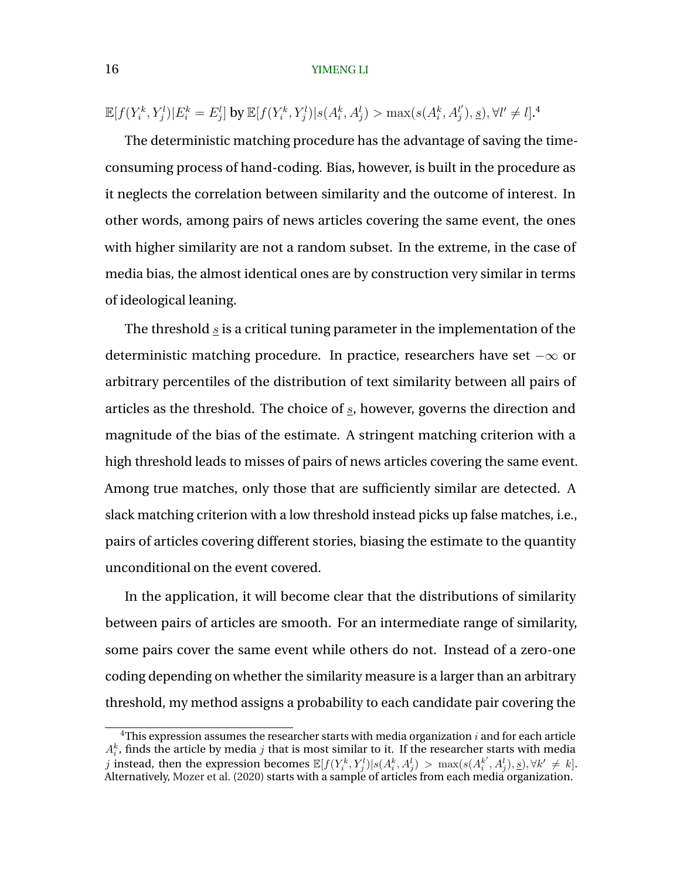$\mathbb{E}[f(Y_i^k,Y_j^l)|E_i^k=E_j^l]$  by  $\mathbb{E}[f(Y_i^k,Y_j^l)|s(A_i^k,A_j^l)>\max(s(A_i^k,A_j^l))]$  $j'$ , <u>s</u>),  $\forall l' \neq l$ .<sup>4</sup>

The deterministic matching procedure has the advantage of saving the timeconsuming process of hand-coding. Bias, however, is built in the procedure as it neglects the correlation between similarity and the outcome of interest. In other words, among pairs of news articles covering the same event, the ones with higher similarity are not a random subset. In the extreme, in the case of media bias, the almost identical ones are by construction very similar in terms of ideological leaning.

The threshold  $s$  is a critical tuning parameter in the implementation of the deterministic matching procedure. In practice, researchers have set −∞ or arbitrary percentiles of the distribution of text similarity between all pairs of articles as the threshold. The choice of  $s$ , however, governs the direction and magnitude of the bias of the estimate. A stringent matching criterion with a high threshold leads to misses of pairs of news articles covering the same event. Among true matches, only those that are sufficiently similar are detected. A slack matching criterion with a low threshold instead picks up false matches, i.e., pairs of articles covering different stories, biasing the estimate to the quantity unconditional on the event covered.

In the application, it will become clear that the distributions of similarity between pairs of articles are smooth. For an intermediate range of similarity, some pairs cover the same event while others do not. Instead of a zero-one coding depending on whether the similarity measure is a larger than an arbitrary threshold, my method assigns a probability to each candidate pair covering the

<sup>&</sup>lt;sup>4</sup>This expression assumes the researcher starts with media organization  $i$  and for each article  $A_i^k$ , finds the article by media j that is most similar to it. If the researcher starts with media j instead, then the expression becomes  $\mathbb{E}[f(Y_i^k, Y_j^l)|s(A_i^k, A_j^l) > \max(s(A_i^{k'}, A_j^l), \underline{s}), \forall k' \neq k].$ Alternatively, [Mozer et al.](#page-30-0) [\(2020\)](#page-30-0) starts with a sample of articles from each media organization.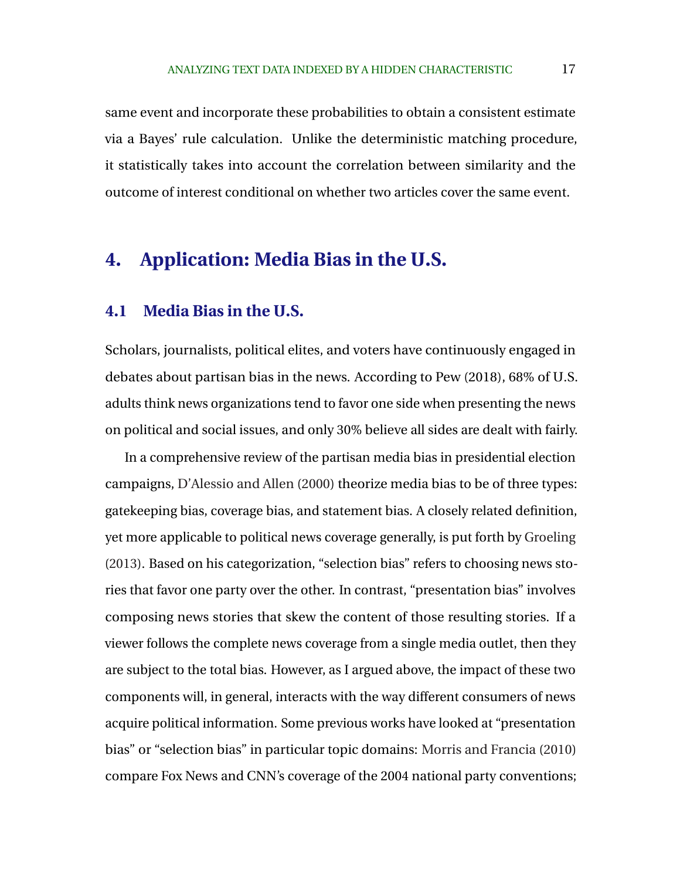<span id="page-16-0"></span>same event and incorporate these probabilities to obtain a consistent estimate via a Bayes' rule calculation. Unlike the deterministic matching procedure, it statistically takes into account the correlation between similarity and the outcome of interest conditional on whether two articles cover the same event.

# **4. Application: Media Bias in the U.S.**

### **4.1 Media Bias in the U.S.**

Scholars, journalists, political elites, and voters have continuously engaged in debates about partisan bias in the news. According to Pew (2018), 68% of U.S. adults think news organizations tend to favor one side when presenting the news on political and social issues, and only 30% believe all sides are dealt with fairly.

In a comprehensive review of the partisan media bias in presidential election campaigns, [D'Alessio and Allen](#page-28-0) [\(2000\)](#page-28-0) theorize media bias to be of three types: gatekeeping bias, coverage bias, and statement bias. A closely related definition, yet more applicable to political news coverage generally, is put forth by [Groeling](#page-29-0) [\(2013\)](#page-29-0). Based on his categorization, "selection bias" refers to choosing news stories that favor one party over the other. In contrast, "presentation bias" involves composing news stories that skew the content of those resulting stories. If a viewer follows the complete news coverage from a single media outlet, then they are subject to the total bias. However, as I argued above, the impact of these two components will, in general, interacts with the way different consumers of news acquire political information. Some previous works have looked at "presentation bias" or "selection bias" in particular topic domains: [Morris and Francia](#page-29-0) [\(2010\)](#page-29-0) compare Fox News and CNN's coverage of the 2004 national party conventions;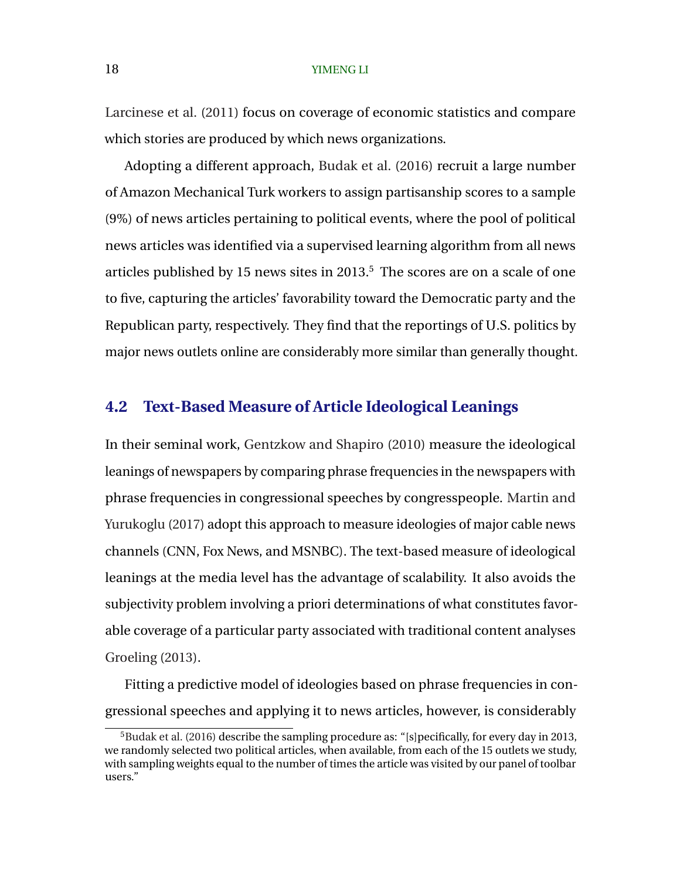[Larcinese et al.](#page-29-0) [\(2011\)](#page-29-0) focus on coverage of economic statistics and compare which stories are produced by which news organizations.

Adopting a different approach, [Budak et al.](#page-28-0) [\(2016\)](#page-28-0) recruit a large number of Amazon Mechanical Turk workers to assign partisanship scores to a sample (9%) of news articles pertaining to political events, where the pool of political news articles was identified via a supervised learning algorithm from all news articles published by 15 news sites in  $2013<sup>5</sup>$ . The scores are on a scale of one to five, capturing the articles' favorability toward the Democratic party and the Republican party, respectively. They find that the reportings of U.S. politics by major news outlets online are considerably more similar than generally thought.

### **4.2 Text-Based Measure of Article Ideological Leanings**

In their seminal work, [Gentzkow and Shapiro](#page-28-0) [\(2010\)](#page-28-0) measure the ideological leanings of newspapers by comparing phrase frequencies in the newspapers with phrase frequencies in congressional speeches by congresspeople. [Martin and](#page-29-0) [Yurukoglu](#page-29-0) [\(2017\)](#page-29-0) adopt this approach to measure ideologies of major cable news channels (CNN, Fox News, and MSNBC). The text-based measure of ideological leanings at the media level has the advantage of scalability. It also avoids the subjectivity problem involving a priori determinations of what constitutes favorable coverage of a particular party associated with traditional content analyses [Groeling](#page-29-0) [\(2013\)](#page-29-0).

Fitting a predictive model of ideologies based on phrase frequencies in congressional speeches and applying it to news articles, however, is considerably

<sup>&</sup>lt;sup>5</sup>[Budak et al.](#page-28-0) [\(2016\)](#page-28-0) describe the sampling procedure as: "[s]pecifically, for every day in 2013, we randomly selected two political articles, when available, from each of the 15 outlets we study, with sampling weights equal to the number of times the article was visited by our panel of toolbar users."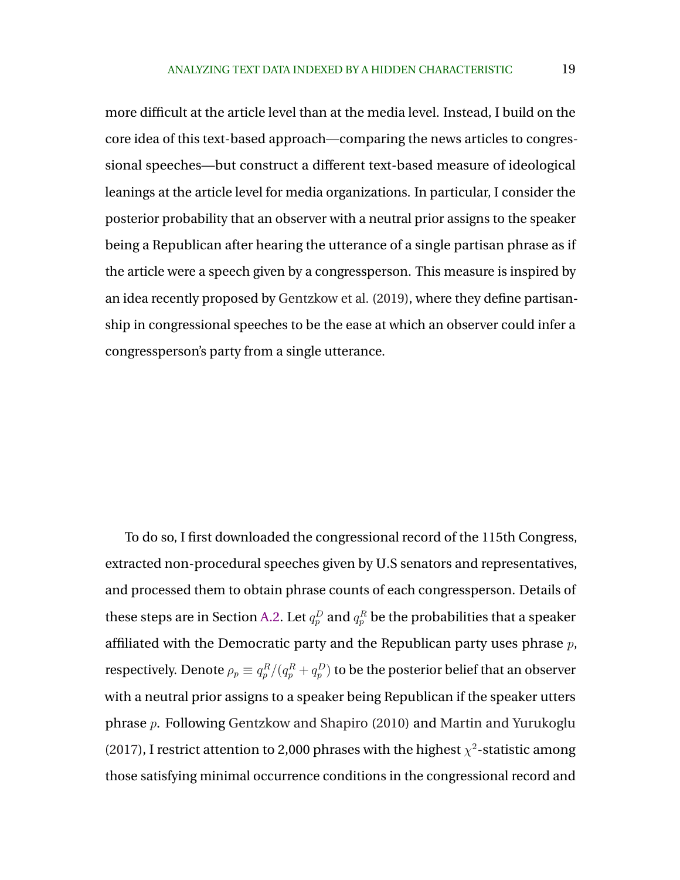more difficult at the article level than at the media level. Instead, I build on the core idea of this text-based approach—comparing the news articles to congressional speeches—but construct a different text-based measure of ideological leanings at the article level for media organizations. In particular, I consider the posterior probability that an observer with a neutral prior assigns to the speaker being a Republican after hearing the utterance of a single partisan phrase as if the article were a speech given by a congressperson. This measure is inspired by an idea recently proposed by [Gentzkow et al.](#page-28-0) [\(2019\)](#page-28-0), where they define partisanship in congressional speeches to be the ease at which an observer could infer a congressperson's party from a single utterance.

To do so, I first downloaded the congressional record of the 115th Congress, extracted non-procedural speeches given by U.S senators and representatives, and processed them to obtain phrase counts of each congressperson. Details of these steps are in Section [A.2.](#page-33-0) Let  $q_p^D$  and  $q_p^R$  be the probabilities that a speaker affiliated with the Democratic party and the Republican party uses phrase  $p$ , respectively. Denote  $\rho_p\equiv q_p^R/(q_p^R+q_p^D)$  to be the posterior belief that an observer with a neutral prior assigns to a speaker being Republican if the speaker utters phrase p. Following [Gentzkow and Shapiro](#page-28-0) [\(2010\)](#page-28-0) and [Martin and Yurukoglu](#page-29-0) [\(2017\)](#page-29-0), I restrict attention to 2,000 phrases with the highest  $\chi^2$ -statistic among those satisfying minimal occurrence conditions in the congressional record and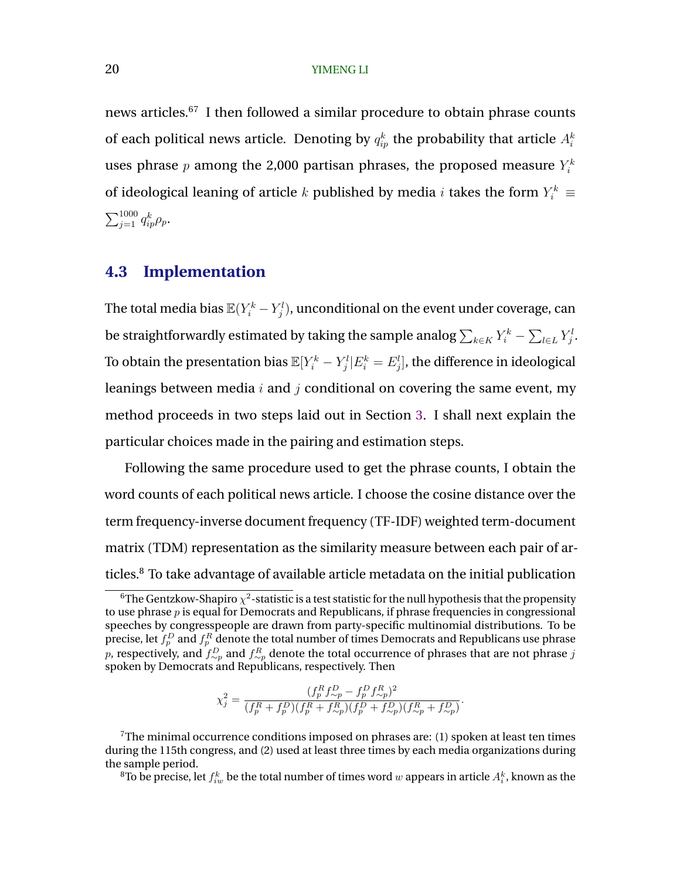news articles.<sup>67</sup> I then followed a similar procedure to obtain phrase counts of each political news article. Denoting by  $q_{ip}^k$  the probability that article  $A_i^k$ uses phrase  $p$  among the 2,000 partisan phrases, the proposed measure  $Y_i^k$ of ideological leaning of article  $k$  published by media  $i$  takes the form  $Y_i^k \equiv$  $\sum_{j=1}^{1000} q_{ip}^k \rho_p$ .

# **4.3 Implementation**

The total media bias  $\mathbb{E}(Y_i^k-Y_j^l)$ , unconditional on the event under coverage, can be straightforwardly estimated by taking the sample analog  $\sum_{k\in K}Y_i^k - \sum_{l\in L}Y_j^l.$ To obtain the presentation bias  $\mathbb{E}[Y_i^k-Y_j^l|E_i^k=E_j^l],$  the difference in ideological leanings between media  $i$  and  $j$  conditional on covering the same event, my method proceeds in two steps laid out in Section [3.](#page-6-0) I shall next explain the particular choices made in the pairing and estimation steps.

Following the same procedure used to get the phrase counts, I obtain the word counts of each political news article. I choose the cosine distance over the term frequency-inverse document frequency (TF-IDF) weighted term-document matrix (TDM) representation as the similarity measure between each pair of articles.<sup>8</sup> To take advantage of available article metadata on the initial publication

$$
\chi_j^2 = \frac{(f_p^R f_{\sim p}^D - f_p^D f_{\sim p}^R)^2}{(f_p^R + f_p^D)(f_p^R + f_{\sim p}^R)(f_p^D + f_{\sim p}^D)(f_{\sim p}^R + f_{\sim p}^D)}.
$$

 $^6$ The Gentzkow-Shapiro  $\chi^2$ -statistic is a test statistic for the null hypothesis that the propensity to use phrase  $p$  is equal for Democrats and Republicans, if phrase frequencies in congressional speeches by congresspeople are drawn from party-specific multinomial distributions. To be precise, let  $f^D_p$  and  $f^R_p$  denote the total number of times Democrats and Republicans use phrase  $p$ , respectively, and  $f^D_{\sim p}$  and  $f^R_{\sim p}$  denote the total occurrence of phrases that are not phrase  $j$ spoken by Democrats and Republicans, respectively. Then

 $7$ The minimal occurrence conditions imposed on phrases are: (1) spoken at least ten times during the 115th congress, and (2) used at least three times by each media organizations during the sample period.

 $^8$ To be precise, let  $f_{iw}^k$  be the total number of times word  $w$  appears in article  $A_i^k$ , known as the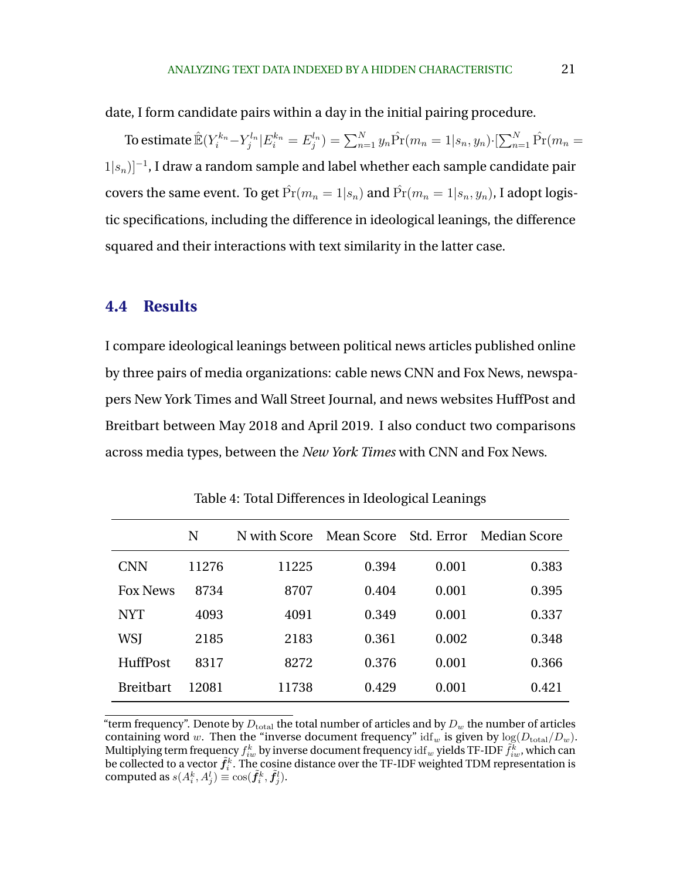<span id="page-20-0"></span>date, I form candidate pairs within a day in the initial pairing procedure.

To estimate  $\hat{{\mathbb E}}(Y_i^{k_n}-Y_j^{l_n}|E_i^{k_n}=E_j^{l_n})=\sum_{n=1}^Ny_n\hat{\Pr}(m_n=1|s_n,y_n)\cdot[\sum_{n=1}^N\hat{\Pr}(m_n=1|s_n,z_n)]$  $(1|s_n)]^{-1}$ , I draw a random sample and label whether each sample candidate pair covers the same event. To get  $\hat{Pr}(m_n = 1|s_n)$  and  $\hat{Pr}(m_n = 1|s_n, y_n)$ , I adopt logistic specifications, including the difference in ideological leanings, the difference squared and their interactions with text similarity in the latter case.

## **4.4 Results**

I compare ideological leanings between political news articles published online by three pairs of media organizations: cable news CNN and Fox News, newspapers New York Times and Wall Street Journal, and news websites HuffPost and Breitbart between May 2018 and April 2019. I also conduct two comparisons across media types, between the *New York Times* with CNN and Fox News.

|                  | N     | N with Score |       |       | Mean Score Std. Error Median Score |
|------------------|-------|--------------|-------|-------|------------------------------------|
| CNN              | 11276 | 11225        | 0.394 | 0.001 | 0.383                              |
| <b>Fox News</b>  | 8734  | 8707         | 0.404 | 0.001 | 0.395                              |
| <b>NYT</b>       | 4093  | 4091         | 0.349 | 0.001 | 0.337                              |
| WSJ              | 2185  | 2183         | 0.361 | 0.002 | 0.348                              |
| HuffPost         | 8317  | 8272         | 0.376 | 0.001 | 0.366                              |
| <b>Breitbart</b> | 12081 | 11738        | 0.429 | 0.001 | 0.421                              |

Table 4: Total Differences in Ideological Leanings

"term frequency". Denote by  $D_{total}$  the total number of articles and by  $D_w$  the number of articles containing word w. Then the "inverse document frequency" idf<sub>w</sub> is given by  $log(D_{total}/D_w)$ . Multiplying term frequency  $f_{iw}^k$  by inverse document frequency  ${\rm idf}_w$  yields TF-IDF  $\tilde{f}_{iw}^{\tilde{k}}$  , which can be collected to a vector  $\tilde{f}_i^k$  . The cosine distance over the TF-IDF weighted TDM representation is computed as  $s(A_i^k, A_j^l) \equiv \cos(\tilde{f}_i^k, \tilde{f}_j^l)$ .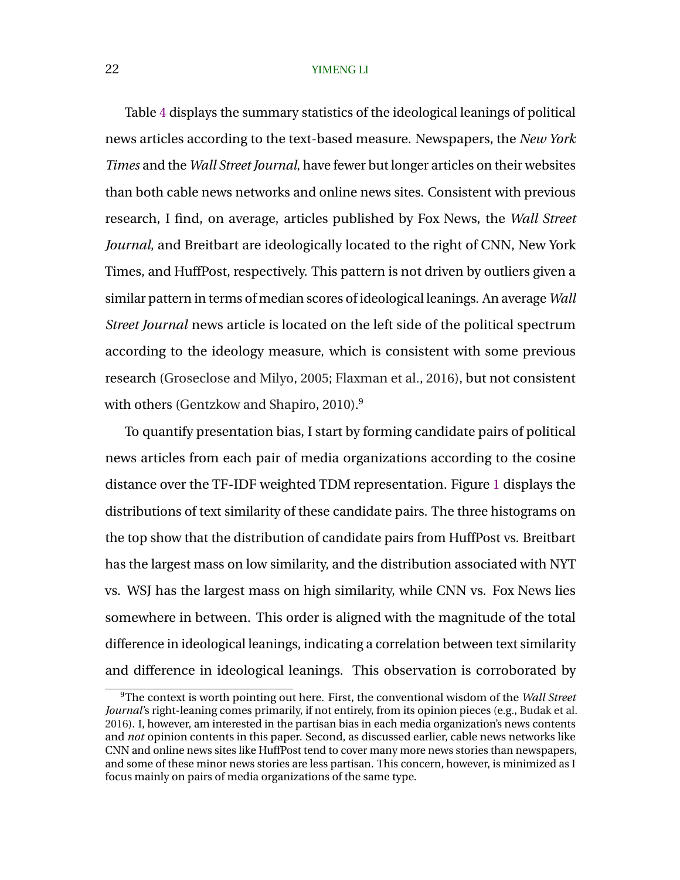Table [4](#page-20-0) displays the summary statistics of the ideological leanings of political news articles according to the text-based measure. Newspapers, the *New York Times* and the *Wall Street Journal*, have fewer but longer articles on their websites than both cable news networks and online news sites. Consistent with previous research, I find, on average, articles published by Fox News, the *Wall Street Journal*, and Breitbart are ideologically located to the right of CNN, New York Times, and HuffPost, respectively. This pattern is not driven by outliers given a similar pattern in terms of median scores of ideological leanings. An average *Wall Street Journal* news article is located on the left side of the political spectrum according to the ideology measure, which is consistent with some previous research [\(Groseclose and Milyo,](#page-29-0) [2005;](#page-29-0) [Flaxman et al.,](#page-28-0) [2016\)](#page-28-0), but not consistent with others [\(Gentzkow and Shapiro,](#page-28-0) [2010\)](#page-28-0).<sup>9</sup>

To quantify presentation bias, I start by forming candidate pairs of political news articles from each pair of media organizations according to the cosine distance over the TF-IDF weighted TDM representation. Figure [1](#page-22-0) displays the distributions of text similarity of these candidate pairs. The three histograms on the top show that the distribution of candidate pairs from HuffPost vs. Breitbart has the largest mass on low similarity, and the distribution associated with NYT vs. WSJ has the largest mass on high similarity, while CNN vs. Fox News lies somewhere in between. This order is aligned with the magnitude of the total difference in ideological leanings, indicating a correlation between text similarity and difference in ideological leanings. This observation is corroborated by

<sup>9</sup>The context is worth pointing out here. First, the conventional wisdom of the *Wall Street Journal*'s right-leaning comes primarily, if not entirely, from its opinion pieces (e.g., [Budak et al.](#page-28-0) [2016\)](#page-28-0). I, however, am interested in the partisan bias in each media organization's news contents and *not* opinion contents in this paper. Second, as discussed earlier, cable news networks like CNN and online news sites like HuffPost tend to cover many more news stories than newspapers, and some of these minor news stories are less partisan. This concern, however, is minimized as I focus mainly on pairs of media organizations of the same type.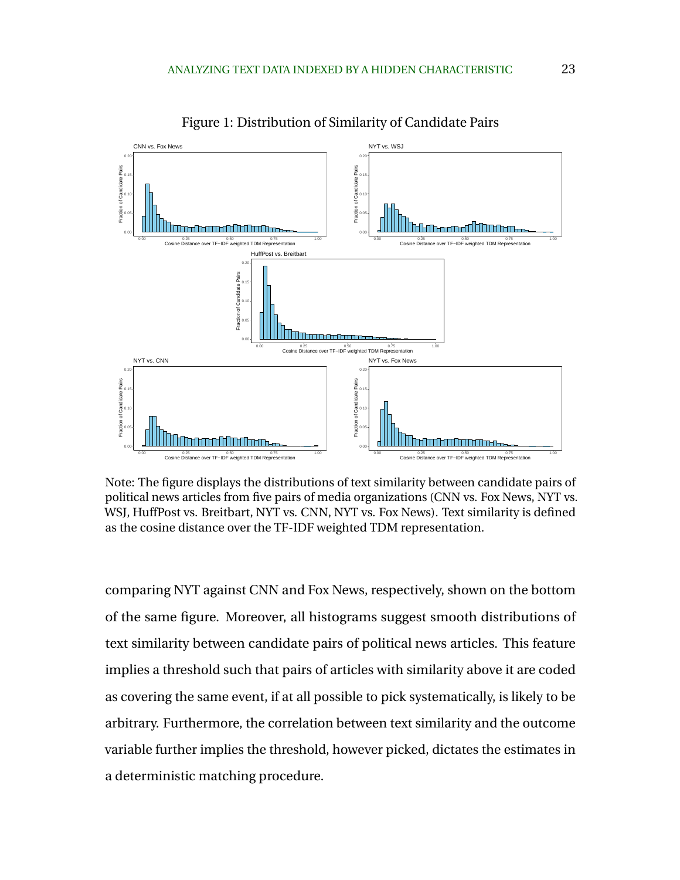<span id="page-22-0"></span>

Figure 1: Distribution of Similarity of Candidate Pairs

Note: The figure displays the distributions of text similarity between candidate pairs of political news articles from five pairs of media organizations (CNN vs. Fox News, NYT vs. WSJ, HuffPost vs. Breitbart, NYT vs. CNN, NYT vs. Fox News). Text similarity is defined as the cosine distance over the TF-IDF weighted TDM representation.

comparing NYT against CNN and Fox News, respectively, shown on the bottom of the same figure. Moreover, all histograms suggest smooth distributions of text similarity between candidate pairs of political news articles. This feature implies a threshold such that pairs of articles with similarity above it are coded as covering the same event, if at all possible to pick systematically, is likely to be arbitrary. Furthermore, the correlation between text similarity and the outcome variable further implies the threshold, however picked, dictates the estimates in a deterministic matching procedure.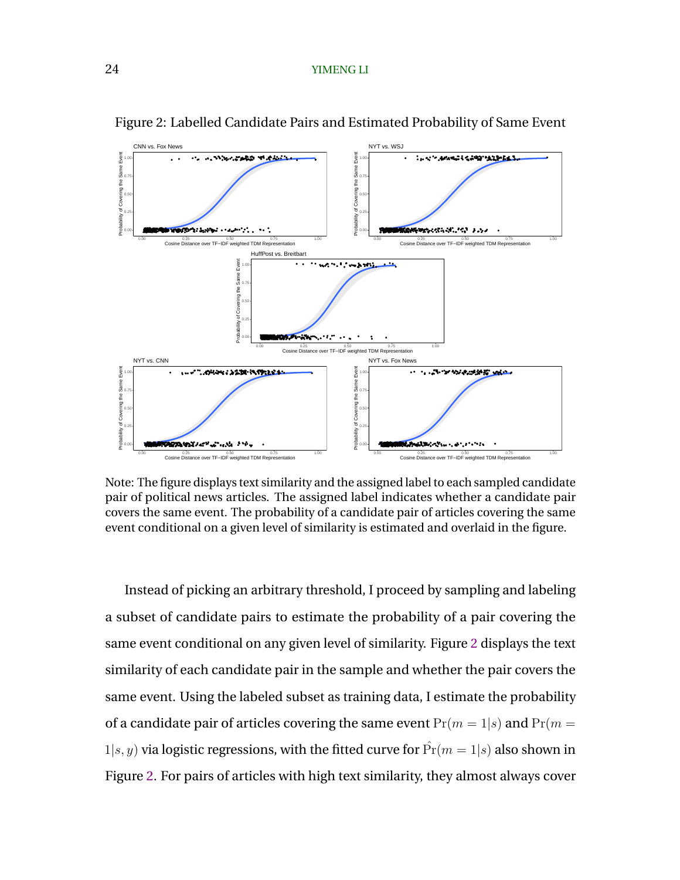

Figure 2: Labelled Candidate Pairs and Estimated Probability of Same Event

Note: The figure displays text similarity and the assigned label to each sampled candidate pair of political news articles. The assigned label indicates whether a candidate pair covers the same event. The probability of a candidate pair of articles covering the same event conditional on a given level of similarity is estimated and overlaid in the figure.

Instead of picking an arbitrary threshold, I proceed by sampling and labeling a subset of candidate pairs to estimate the probability of a pair covering the same event conditional on any given level of similarity. Figure 2 displays the text similarity of each candidate pair in the sample and whether the pair covers the same event. Using the labeled subset as training data, I estimate the probability of a candidate pair of articles covering the same event  $Pr(m = 1|s)$  and  $Pr(m = 1|s)$  $1|s, y$  via logistic regressions, with the fitted curve for  $\Pr(m = 1|s)$  also shown in Figure 2. For pairs of articles with high text similarity, they almost always cover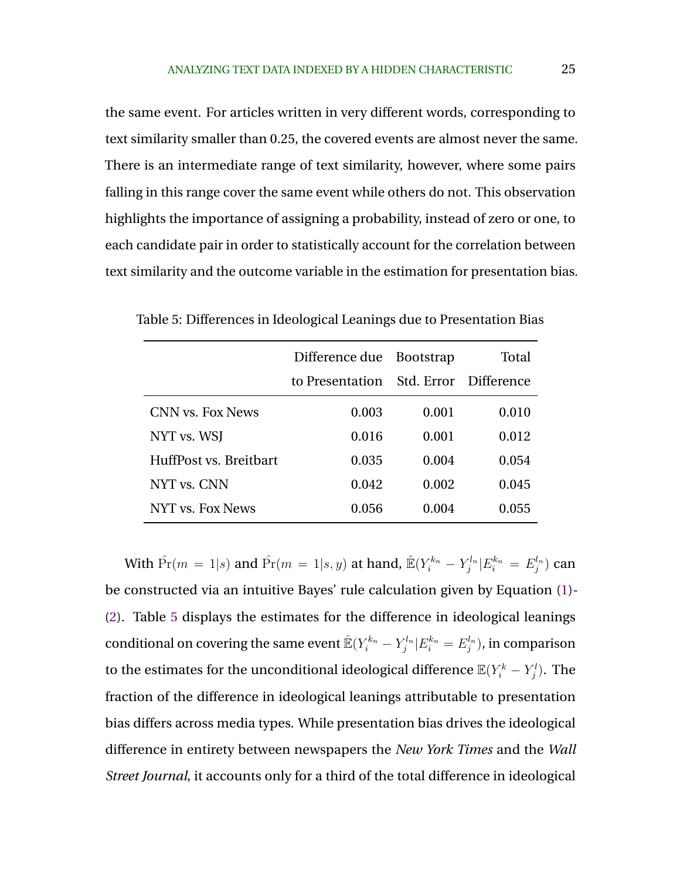the same event. For articles written in very different words, corresponding to text similarity smaller than 0.25, the covered events are almost never the same. There is an intermediate range of text similarity, however, where some pairs falling in this range cover the same event while others do not. This observation highlights the importance of assigning a probability, instead of zero or one, to each candidate pair in order to statistically account for the correlation between text similarity and the outcome variable in the estimation for presentation bias.

|                        | Difference due Bootstrap              |       | Total |
|------------------------|---------------------------------------|-------|-------|
|                        | to Presentation Std. Error Difference |       |       |
| CNN vs. Fox News       | 0.003                                 | 0.001 | 0.010 |
| NYT vs. WSJ            | 0.016                                 | 0.001 | 0.012 |
| HuffPost vs. Breitbart | 0.035                                 | 0.004 | 0.054 |
| NYT vs. CNN            | 0.042                                 | 0.002 | 0.045 |
| NYT vs. Fox News       | 0.056                                 | 0.004 | 0.055 |

Table 5: Differences in Ideological Leanings due to Presentation Bias

With  $\hat{\Pr}(m=1|s)$  and  $\hat{\Pr}(m=1|s,y)$  at hand,  $\hat{\mathbb{E}}(Y_i^{k_n} - Y_j^{l_n}|E_i^{k_n}=E_j^{l_n})$  can be constructed via an intuitive Bayes' rule calculation given by Equation [\(1\)](#page-13-0)- [\(2\)](#page-13-0). Table 5 displays the estimates for the difference in ideological leanings conditional on covering the same event  $\mathbb{E}(Y_i^{k_n} - Y_j^{l_n}|E_i^{k_n} = E_j^{l_n}),$  in comparison to the estimates for the unconditional ideological difference  $\mathbb{E}(Y_i^k-Y_j^l).$  The fraction of the difference in ideological leanings attributable to presentation bias differs across media types. While presentation bias drives the ideological difference in entirety between newspapers the *New York Times* and the *Wall Street Journal*, it accounts only for a third of the total difference in ideological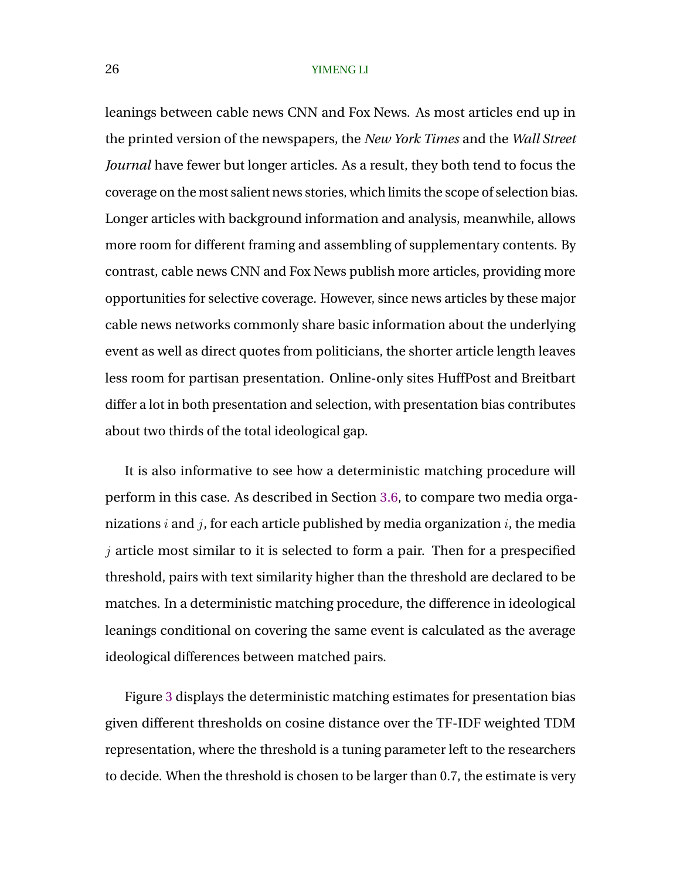leanings between cable news CNN and Fox News. As most articles end up in the printed version of the newspapers, the *New York Times* and the *Wall Street Journal* have fewer but longer articles. As a result, they both tend to focus the coverage on the most salient news stories, which limits the scope of selection bias. Longer articles with background information and analysis, meanwhile, allows more room for different framing and assembling of supplementary contents. By contrast, cable news CNN and Fox News publish more articles, providing more opportunities for selective coverage. However, since news articles by these major cable news networks commonly share basic information about the underlying event as well as direct quotes from politicians, the shorter article length leaves less room for partisan presentation. Online-only sites HuffPost and Breitbart differ a lot in both presentation and selection, with presentation bias contributes about two thirds of the total ideological gap.

It is also informative to see how a deterministic matching procedure will perform in this case. As described in Section [3.6,](#page-14-0) to compare two media organizations  $i$  and  $j$ , for each article published by media organization  $i$ , the media  $i$  article most similar to it is selected to form a pair. Then for a prespecified threshold, pairs with text similarity higher than the threshold are declared to be matches. In a deterministic matching procedure, the difference in ideological leanings conditional on covering the same event is calculated as the average ideological differences between matched pairs.

Figure [3](#page-26-0) displays the deterministic matching estimates for presentation bias given different thresholds on cosine distance over the TF-IDF weighted TDM representation, where the threshold is a tuning parameter left to the researchers to decide. When the threshold is chosen to be larger than 0.7, the estimate is very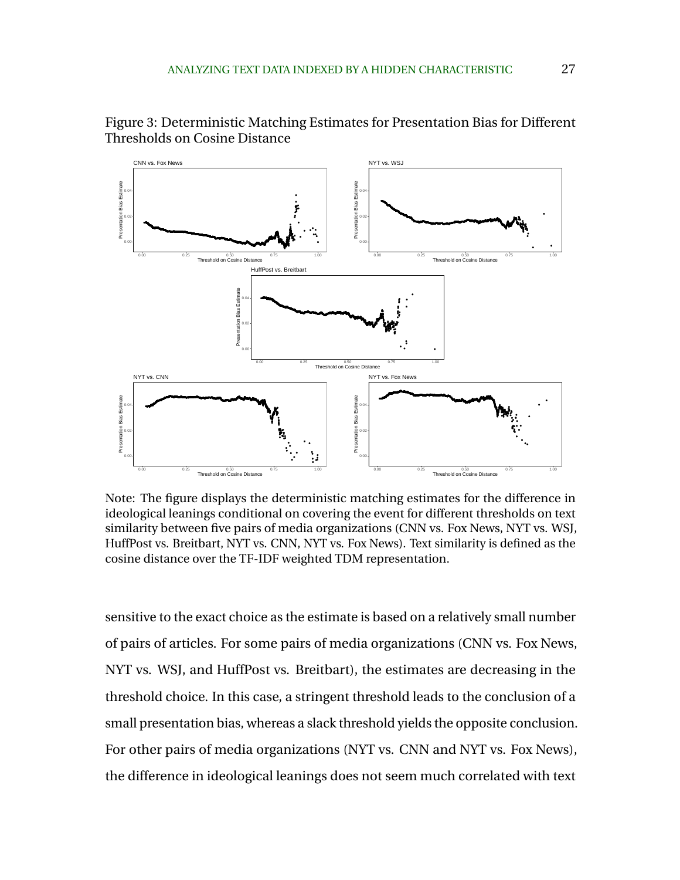

<span id="page-26-0"></span>Figure 3: Deterministic Matching Estimates for Presentation Bias for Different Thresholds on Cosine Distance

Note: The figure displays the deterministic matching estimates for the difference in ideological leanings conditional on covering the event for different thresholds on text similarity between five pairs of media organizations (CNN vs. Fox News, NYT vs. WSJ, HuffPost vs. Breitbart, NYT vs. CNN, NYT vs. Fox News). Text similarity is defined as the cosine distance over the TF-IDF weighted TDM representation.

sensitive to the exact choice as the estimate is based on a relatively small number of pairs of articles. For some pairs of media organizations (CNN vs. Fox News, NYT vs. WSJ, and HuffPost vs. Breitbart), the estimates are decreasing in the threshold choice. In this case, a stringent threshold leads to the conclusion of a small presentation bias, whereas a slack threshold yields the opposite conclusion. For other pairs of media organizations (NYT vs. CNN and NYT vs. Fox News), the difference in ideological leanings does not seem much correlated with text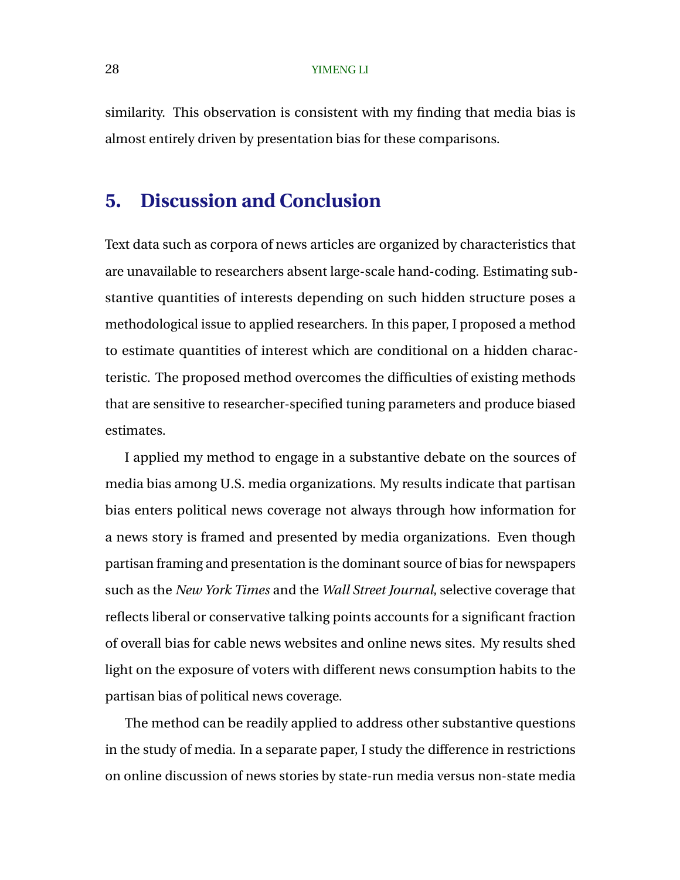similarity. This observation is consistent with my finding that media bias is almost entirely driven by presentation bias for these comparisons.

# **5. Discussion and Conclusion**

Text data such as corpora of news articles are organized by characteristics that are unavailable to researchers absent large-scale hand-coding. Estimating substantive quantities of interests depending on such hidden structure poses a methodological issue to applied researchers. In this paper, I proposed a method to estimate quantities of interest which are conditional on a hidden characteristic. The proposed method overcomes the difficulties of existing methods that are sensitive to researcher-specified tuning parameters and produce biased estimates.

I applied my method to engage in a substantive debate on the sources of media bias among U.S. media organizations. My results indicate that partisan bias enters political news coverage not always through how information for a news story is framed and presented by media organizations. Even though partisan framing and presentation is the dominant source of bias for newspapers such as the *New York Times* and the *Wall Street Journal*, selective coverage that reflects liberal or conservative talking points accounts for a significant fraction of overall bias for cable news websites and online news sites. My results shed light on the exposure of voters with different news consumption habits to the partisan bias of political news coverage.

The method can be readily applied to address other substantive questions in the study of media. In a separate paper, I study the difference in restrictions on online discussion of news stories by state-run media versus non-state media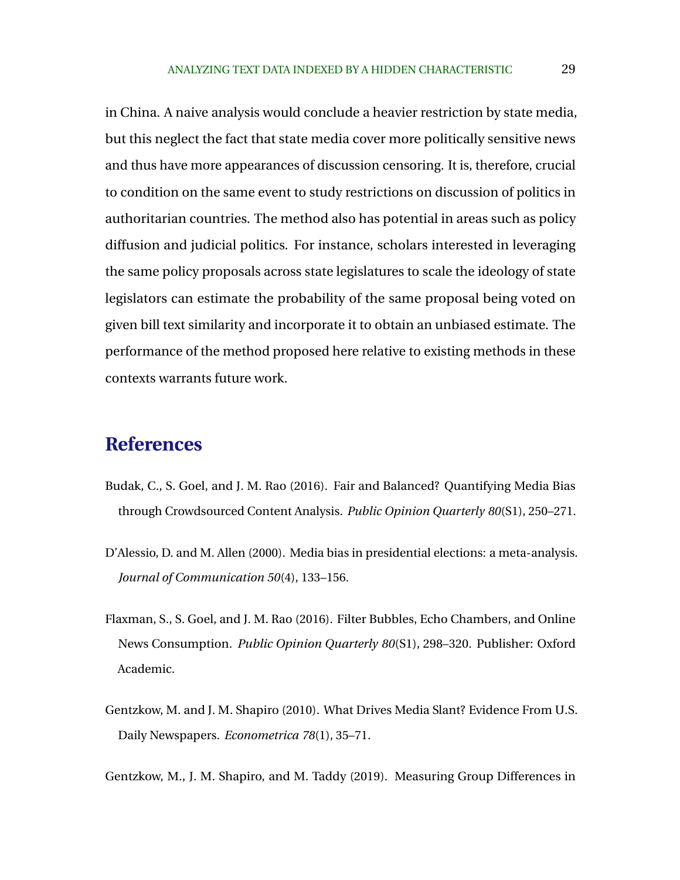<span id="page-28-0"></span>in China. A naive analysis would conclude a heavier restriction by state media, but this neglect the fact that state media cover more politically sensitive news and thus have more appearances of discussion censoring. It is, therefore, crucial to condition on the same event to study restrictions on discussion of politics in authoritarian countries. The method also has potential in areas such as policy diffusion and judicial politics. For instance, scholars interested in leveraging the same policy proposals across state legislatures to scale the ideology of state legislators can estimate the probability of the same proposal being voted on given bill text similarity and incorporate it to obtain an unbiased estimate. The performance of the method proposed here relative to existing methods in these contexts warrants future work.

# **References**

- Budak, C., S. Goel, and J. M. Rao (2016). Fair and Balanced? Quantifying Media Bias through Crowdsourced Content Analysis. *Public Opinion Quarterly 80*(S1), 250–271.
- D'Alessio, D. and M. Allen (2000). Media bias in presidential elections: a meta-analysis. *Journal of Communication 50*(4), 133–156.
- Flaxman, S., S. Goel, and J. M. Rao (2016). Filter Bubbles, Echo Chambers, and Online News Consumption. *Public Opinion Quarterly 80*(S1), 298–320. Publisher: Oxford Academic.
- Gentzkow, M. and J. M. Shapiro (2010). What Drives Media Slant? Evidence From U.S. Daily Newspapers. *Econometrica 78*(1), 35–71.

Gentzkow, M., J. M. Shapiro, and M. Taddy (2019). Measuring Group Differences in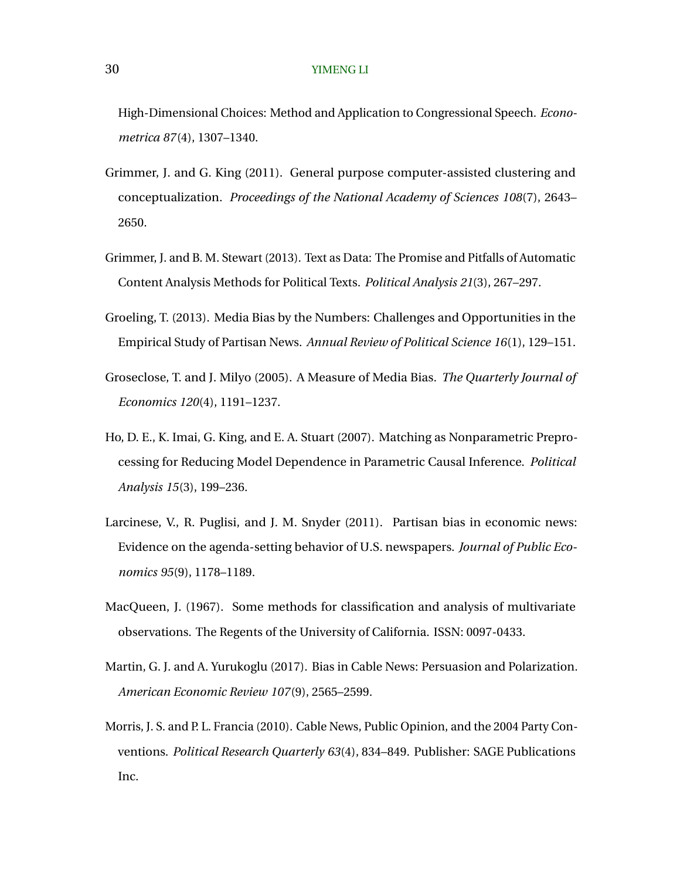<span id="page-29-0"></span>High-Dimensional Choices: Method and Application to Congressional Speech. *Econometrica 87*(4), 1307–1340.

- Grimmer, J. and G. King (2011). General purpose computer-assisted clustering and conceptualization. *Proceedings of the National Academy of Sciences 108*(7), 2643– 2650.
- Grimmer, J. and B. M. Stewart (2013). Text as Data: The Promise and Pitfalls of Automatic Content Analysis Methods for Political Texts. *Political Analysis 21*(3), 267–297.
- Groeling, T. (2013). Media Bias by the Numbers: Challenges and Opportunities in the Empirical Study of Partisan News. *Annual Review of Political Science 16*(1), 129–151.
- Groseclose, T. and J. Milyo (2005). A Measure of Media Bias. *The Quarterly Journal of Economics 120*(4), 1191–1237.
- Ho, D. E., K. Imai, G. King, and E. A. Stuart (2007). Matching as Nonparametric Preprocessing for Reducing Model Dependence in Parametric Causal Inference. *Political Analysis 15*(3), 199–236.
- Larcinese, V., R. Puglisi, and J. M. Snyder (2011). Partisan bias in economic news: Evidence on the agenda-setting behavior of U.S. newspapers. *Journal of Public Economics 95*(9), 1178–1189.
- MacQueen, J. (1967). Some methods for classification and analysis of multivariate observations. The Regents of the University of California. ISSN: 0097-0433.
- Martin, G. J. and A. Yurukoglu (2017). Bias in Cable News: Persuasion and Polarization. *American Economic Review 107*(9), 2565–2599.
- Morris, J. S. and P. L. Francia (2010). Cable News, Public Opinion, and the 2004 Party Conventions. *Political Research Quarterly 63*(4), 834–849. Publisher: SAGE Publications Inc.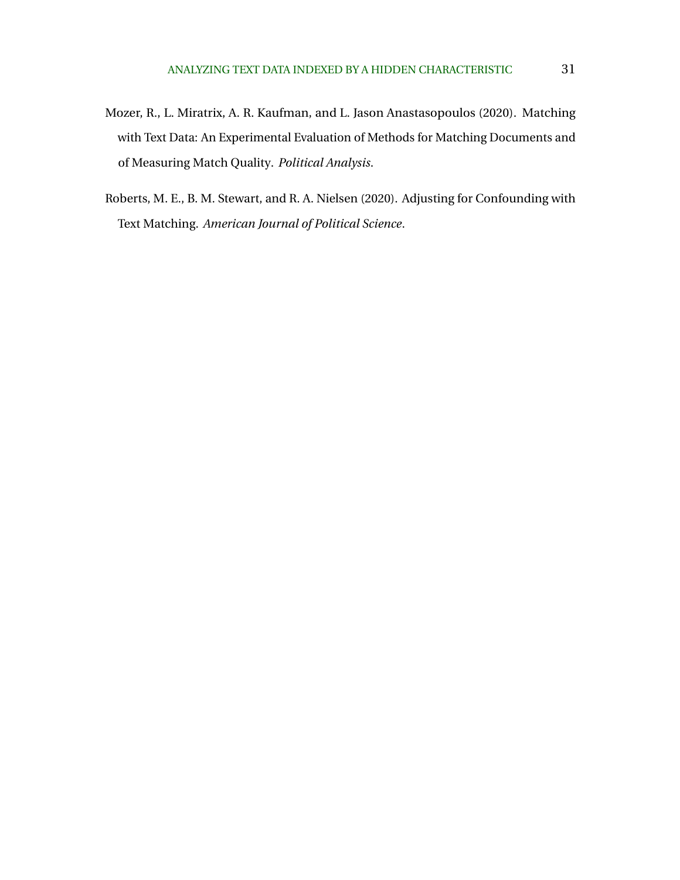- <span id="page-30-0"></span>Mozer, R., L. Miratrix, A. R. Kaufman, and L. Jason Anastasopoulos (2020). Matching with Text Data: An Experimental Evaluation of Methods for Matching Documents and of Measuring Match Quality. *Political Analysis*.
- Roberts, M. E., B. M. Stewart, and R. A. Nielsen (2020). Adjusting for Confounding with Text Matching. *American Journal of Political Science*.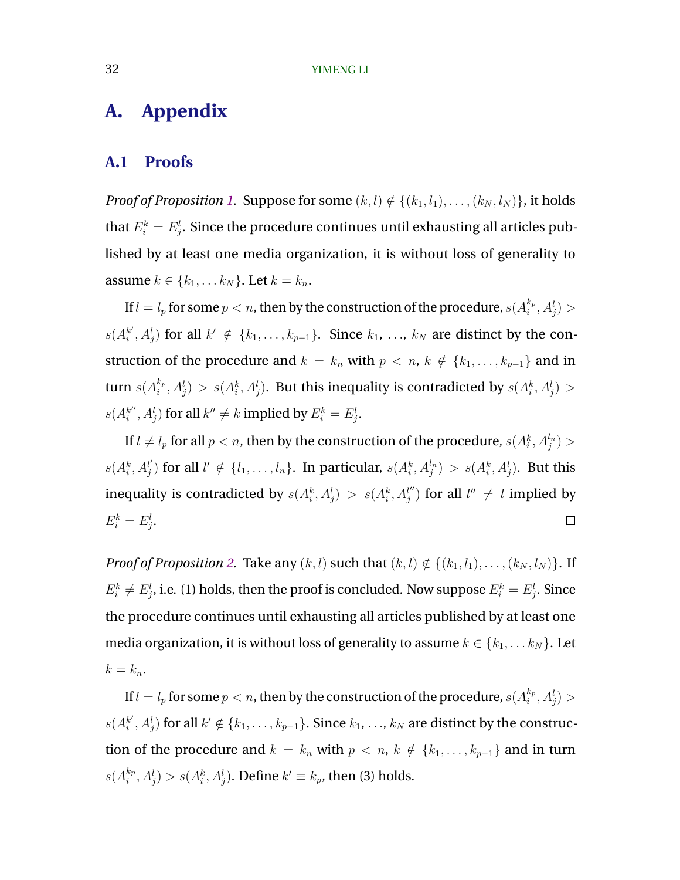# **A. Appendix**

### **A.1 Proofs**

*Proof of Proposition [1.](#page-10-0)* Suppose for some  $(k, l) \notin \{(k_1, l_1), \ldots, (k_N, l_N)\}$ , it holds that  $E_i^k = E_j^l.$  Since the procedure continues until exhausting all articles published by at least one media organization, it is without loss of generality to assume  $k \in \{k_1, \ldots k_N\}$ . Let  $k = k_n$ .

If  $l=l_p$  for some  $p < n$ , then by the construction of the procedure,  $s(A_i^{k_p})$  $_{i}^{k_{p}},A_{j}^{l})$  >  $s(A_i^{k'}$  $k'$ ,  $A_j^l$ ) for all  $k' \notin \{k_1, \ldots, k_{p-1}\}$ . Since  $k_1, \ldots, k_N$  are distinct by the construction of the procedure and  $k = k_n$  with  $p \lt n, k \notin \{k_1, \ldots, k_{p-1}\}\$  and in turn  $s(A_i^{k_p})$  $i^{(k_p)}_{i}, A^l_j) > s(A^k_i, A^l_j).$  But this inequality is contradicted by  $s(A^k_i, A^l_j) > s$  $s(A_i^{k''})$  $\phi^{k''}_i, A^l_j)$  for all  $k'' \neq k$  implied by  $E^k_i = E^l_j.$ 

If  $l\neq l_{p}$  for all  $p < n,$  then by the construction of the procedure,  $s(A^{k}_{i},A^{l_{n}}_{j})>$  $s(A_i^k, A_j^l)$  $\mathbf{B}_j^{(l)}$  for all  $l' \notin \{l_1,\ldots,l_n\}$ . In particular,  $s(A_i^k,A_j^{l_n}) > s(A_i^k,A_j^{l}).$  But this inequality is contradicted by  $s(A_i^k, A_j^l) > s(A_i^k, A_j^{l''})$  $l''_j$  for all  $l''\,\neq\,l$  implied by  $E_i^k = E_j^l$ .  $\Box$ 

*Proof of Proposition [2.](#page-11-0)* Take any  $(k, l)$  such that  $(k, l) \notin \{(k_1, l_1), \ldots, (k_N, l_N)\}$ . If  $E_i^k \neq E_j^l$ , i.e. (1) holds, then the proof is concluded. Now suppose  $E_i^k = E_j^l.$  Since the procedure continues until exhausting all articles published by at least one media organization, it is without loss of generality to assume  $k \in \{k_1, \ldots k_N\}$ . Let  $k = k_n$ .

If  $l=l_p$  for some  $p < n$ , then by the construction of the procedure,  $s(A_i^{k_p})$  $_{i}^{k_{p}},A_{j}^{l})$  >  $s(A_i^{k'}$  $k^{'}_i,A_j^l)$  for all  $k'\notin \{k_1,\ldots,k_{p-1}\}.$  Since  $k_1,\ldots,k_N$  are distinct by the construction of the procedure and  $k = k_n$  with  $p \lt n, k \notin \{k_1, \ldots, k_{p-1}\}$  and in turn  $s(A_i^{k_p})$  $\hat{h}^{k_p}_i, A^l_j)>s(A^k_i, A^l_j).$  Define  $k'\equiv k_p$ , then (3) holds.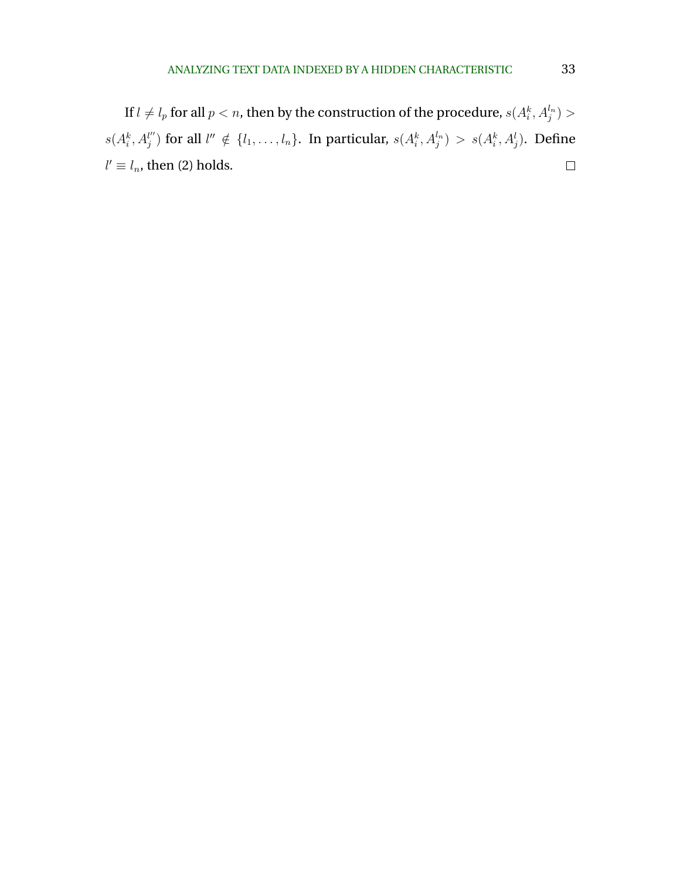If  $l\neq l_{p}$  for all  $p < n,$  then by the construction of the procedure,  $s(A^{k}_{i},A^{l_{n}}_{j})>$  $s(A_i^k, A_j^{l''})$  $\mathcal{U}'_j$  for all  $\mathcal{U}'' \notin \{l_1,\ldots,l_n\}.$  In particular,  $s(A_i^k,A_j^{l_n}) > s(A_i^k,A_j^{l}).$  Define  $\Box$  $l' \equiv l_n$ , then (2) holds.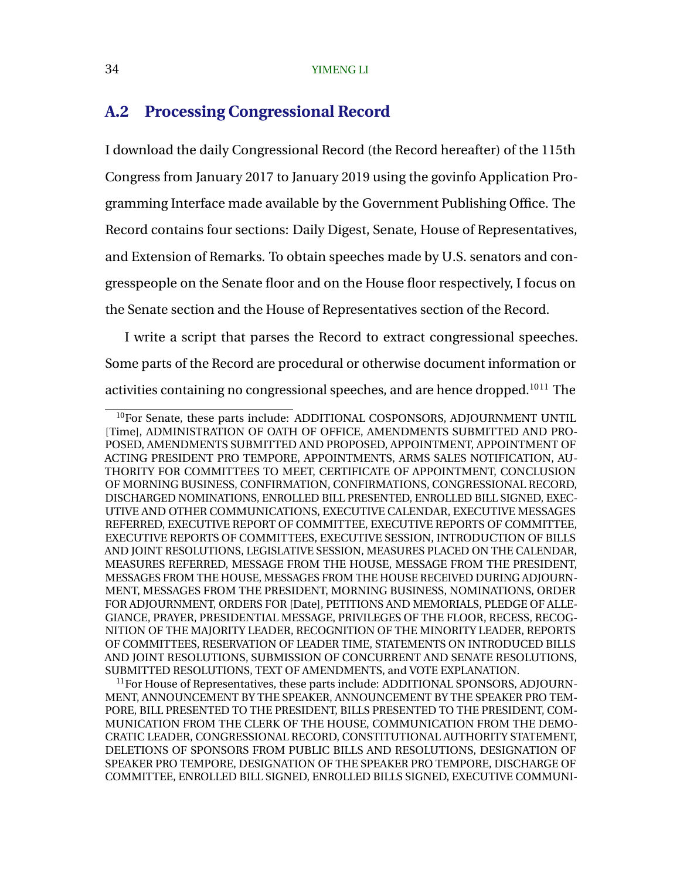# <span id="page-33-0"></span>**A.2 Processing Congressional Record**

I download the daily Congressional Record (the Record hereafter) of the 115th Congress from January 2017 to January 2019 using the govinfo Application Programming Interface made available by the Government Publishing Office. The Record contains four sections: Daily Digest, Senate, House of Representatives, and Extension of Remarks. To obtain speeches made by U.S. senators and congresspeople on the Senate floor and on the House floor respectively, I focus on the Senate section and the House of Representatives section of the Record.

I write a script that parses the Record to extract congressional speeches. Some parts of the Record are procedural or otherwise document information or activities containing no congressional speeches, and are hence dropped.<sup>1011</sup> The

<sup>&</sup>lt;sup>10</sup>For Senate, these parts include: ADDITIONAL COSPONSORS, ADJOURNMENT UNTIL [Time], ADMINISTRATION OF OATH OF OFFICE, AMENDMENTS SUBMITTED AND PRO-POSED, AMENDMENTS SUBMITTED AND PROPOSED, APPOINTMENT, APPOINTMENT OF ACTING PRESIDENT PRO TEMPORE, APPOINTMENTS, ARMS SALES NOTIFICATION, AU-THORITY FOR COMMITTEES TO MEET, CERTIFICATE OF APPOINTMENT, CONCLUSION OF MORNING BUSINESS, CONFIRMATION, CONFIRMATIONS, CONGRESSIONAL RECORD, DISCHARGED NOMINATIONS, ENROLLED BILL PRESENTED, ENROLLED BILL SIGNED, EXEC-UTIVE AND OTHER COMMUNICATIONS, EXECUTIVE CALENDAR, EXECUTIVE MESSAGES REFERRED, EXECUTIVE REPORT OF COMMITTEE, EXECUTIVE REPORTS OF COMMITTEE, EXECUTIVE REPORTS OF COMMITTEES, EXECUTIVE SESSION, INTRODUCTION OF BILLS AND JOINT RESOLUTIONS, LEGISLATIVE SESSION, MEASURES PLACED ON THE CALENDAR, MEASURES REFERRED, MESSAGE FROM THE HOUSE, MESSAGE FROM THE PRESIDENT, MESSAGES FROM THE HOUSE, MESSAGES FROM THE HOUSE RECEIVED DURING ADJOURN-MENT, MESSAGES FROM THE PRESIDENT, MORNING BUSINESS, NOMINATIONS, ORDER FOR ADJOURNMENT, ORDERS FOR [Date], PETITIONS AND MEMORIALS, PLEDGE OF ALLE-GIANCE, PRAYER, PRESIDENTIAL MESSAGE, PRIVILEGES OF THE FLOOR, RECESS, RECOG-NITION OF THE MAJORITY LEADER, RECOGNITION OF THE MINORITY LEADER, REPORTS OF COMMITTEES, RESERVATION OF LEADER TIME, STATEMENTS ON INTRODUCED BILLS AND JOINT RESOLUTIONS, SUBMISSION OF CONCURRENT AND SENATE RESOLUTIONS, SUBMITTED RESOLUTIONS, TEXT OF AMENDMENTS, and VOTE EXPLANATION.

 $11$  For House of Representatives, these parts include: ADDITIONAL SPONSORS, ADJOURN-MENT, ANNOUNCEMENT BY THE SPEAKER, ANNOUNCEMENT BY THE SPEAKER PRO TEM-PORE, BILL PRESENTED TO THE PRESIDENT, BILLS PRESENTED TO THE PRESIDENT, COM-MUNICATION FROM THE CLERK OF THE HOUSE, COMMUNICATION FROM THE DEMO-CRATIC LEADER, CONGRESSIONAL RECORD, CONSTITUTIONAL AUTHORITY STATEMENT, DELETIONS OF SPONSORS FROM PUBLIC BILLS AND RESOLUTIONS, DESIGNATION OF SPEAKER PRO TEMPORE, DESIGNATION OF THE SPEAKER PRO TEMPORE, DISCHARGE OF COMMITTEE, ENROLLED BILL SIGNED, ENROLLED BILLS SIGNED, EXECUTIVE COMMUNI-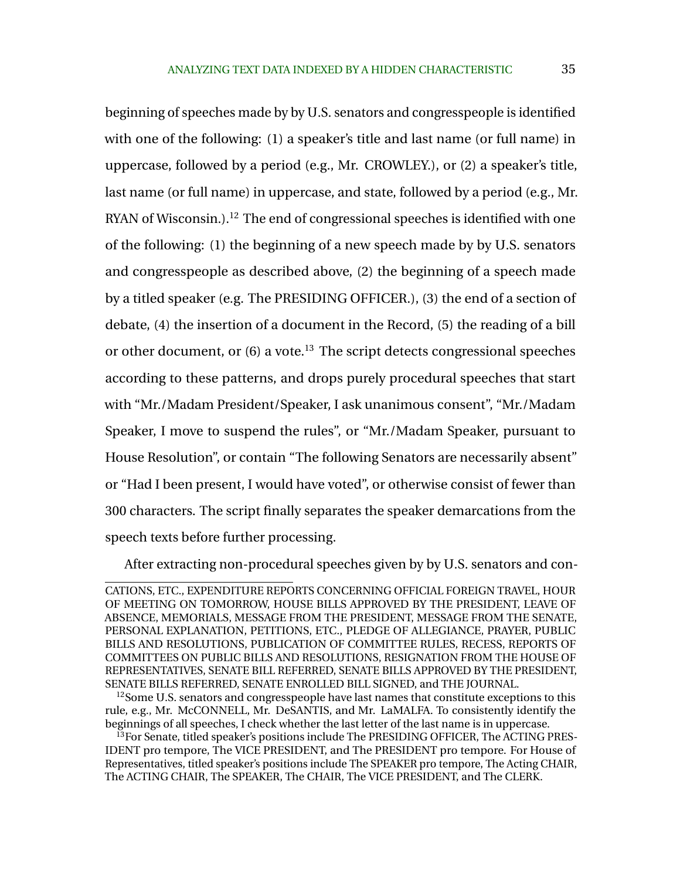beginning of speeches made by by U.S. senators and congresspeople is identified with one of the following: (1) a speaker's title and last name (or full name) in uppercase, followed by a period (e.g., Mr. CROWLEY.), or (2) a speaker's title, last name (or full name) in uppercase, and state, followed by a period (e.g., Mr. RYAN of Wisconsin.).<sup>12</sup> The end of congressional speeches is identified with one of the following: (1) the beginning of a new speech made by by U.S. senators and congresspeople as described above, (2) the beginning of a speech made by a titled speaker (e.g. The PRESIDING OFFICER.), (3) the end of a section of debate, (4) the insertion of a document in the Record, (5) the reading of a bill or other document, or  $(6)$  a vote.<sup>13</sup> The script detects congressional speeches according to these patterns, and drops purely procedural speeches that start with "Mr./Madam President/Speaker, I ask unanimous consent", "Mr./Madam Speaker, I move to suspend the rules", or "Mr./Madam Speaker, pursuant to House Resolution", or contain "The following Senators are necessarily absent" or "Had I been present, I would have voted", or otherwise consist of fewer than 300 characters. The script finally separates the speaker demarcations from the speech texts before further processing.

After extracting non-procedural speeches given by by U.S. senators and con-

CATIONS, ETC., EXPENDITURE REPORTS CONCERNING OFFICIAL FOREIGN TRAVEL, HOUR OF MEETING ON TOMORROW, HOUSE BILLS APPROVED BY THE PRESIDENT, LEAVE OF ABSENCE, MEMORIALS, MESSAGE FROM THE PRESIDENT, MESSAGE FROM THE SENATE, PERSONAL EXPLANATION, PETITIONS, ETC., PLEDGE OF ALLEGIANCE, PRAYER, PUBLIC BILLS AND RESOLUTIONS, PUBLICATION OF COMMITTEE RULES, RECESS, REPORTS OF COMMITTEES ON PUBLIC BILLS AND RESOLUTIONS, RESIGNATION FROM THE HOUSE OF REPRESENTATIVES, SENATE BILL REFERRED, SENATE BILLS APPROVED BY THE PRESIDENT, SENATE BILLS REFERRED, SENATE ENROLLED BILL SIGNED, and THE JOURNAL.

<sup>&</sup>lt;sup>12</sup>Some U.S. senators and congresspeople have last names that constitute exceptions to this rule, e.g., Mr. McCONNELL, Mr. DeSANTIS, and Mr. LaMALFA. To consistently identify the beginnings of all speeches, I check whether the last letter of the last name is in uppercase.

 $13$  For Senate, titled speaker's positions include The PRESIDING OFFICER, The ACTING PRES-IDENT pro tempore, The VICE PRESIDENT, and The PRESIDENT pro tempore. For House of Representatives, titled speaker's positions include The SPEAKER pro tempore, The Acting CHAIR, The ACTING CHAIR, The SPEAKER, The CHAIR, The VICE PRESIDENT, and The CLERK.